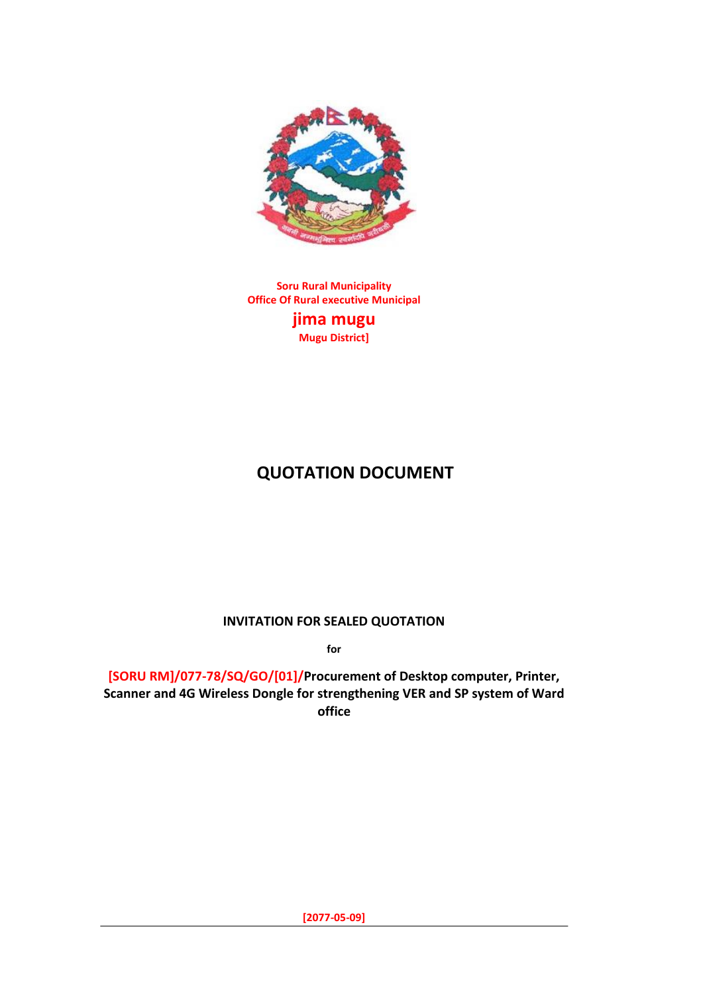

**Soru Rural Municipality Office Of Rural executive Municipal jima mugu Mugu District]**

# **QUOTATION DOCUMENT**

**INVITATION FOR SEALED QUOTATION** 

**for**

**[SORU RM]/077-78/SQ/GO/[01]/Procurement of Desktop computer, Printer, Scanner and 4G Wireless Dongle for strengthening VER and SP system of Ward office**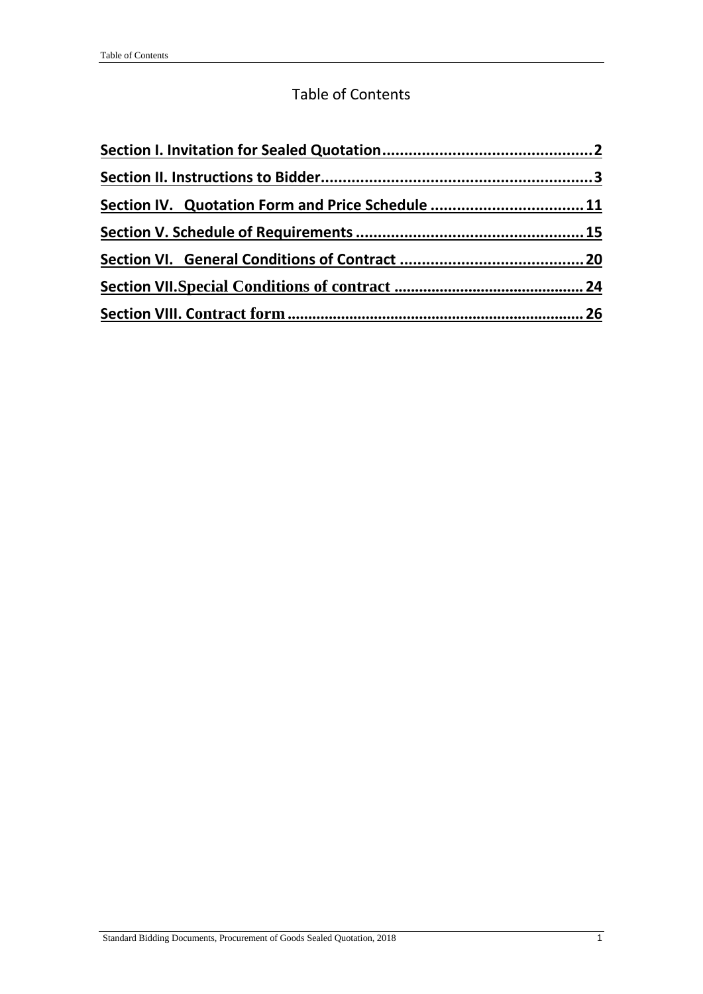### Table of Contents

| Section IV. Quotation Form and Price Schedule  11 |  |
|---------------------------------------------------|--|
|                                                   |  |
|                                                   |  |
|                                                   |  |
|                                                   |  |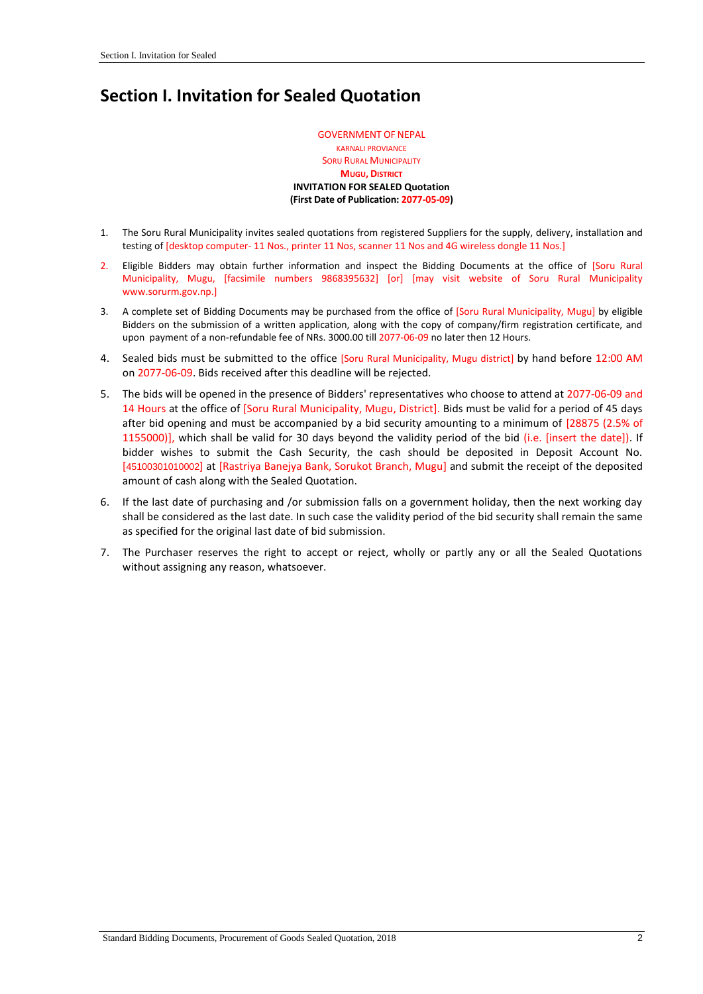# <span id="page-2-0"></span>**Section I. Invitation for Sealed Quotation**

GOVERNMENT OF NEPAL KARNALI PROVIANCE **SORU RURAL MUNICIPALITY MUGU, DISTRICT INVITATION FOR SEALED Quotation (First Date of Publication: 2077-05-09)**

- 1. The Soru Rural Municipality invites sealed quotations from registered Suppliers for the supply, delivery, installation and testing of [desktop computer- 11 Nos., printer 11 Nos, scanner 11 Nos and 4G wireless dongle 11 Nos.]
- 2. Eligible Bidders may obtain further information and inspect the Bidding Documents at the office of [Soru Rural Municipality, Mugu, [facsimile numbers 9868395632] [or] [may visit website of Soru Rural Municipality www.sorurm.gov.np.]
- 3. A complete set of Bidding Documents may be purchased from the office of [Soru Rural Municipality, Mugu] by eligible Bidders on the submission of a written application, along with the copy of company/firm registration certificate, and upon payment of a non-refundable fee of NRs. 3000.00 till 2077-06-09 no later then 12 Hours.
- 4. Sealed bids must be submitted to the office [Soru Rural Municipality, Mugu district] by hand before 12:00 AM on 2077-06-09. Bids received after this deadline will be rejected.
- 5. The bids will be opened in the presence of Bidders' representatives who choose to attend at 2077-06-09 and 14 Hours at the office of [Soru Rural Municipality, Mugu, District]. Bids must be valid for a period of 45 days after bid opening and must be accompanied by a bid security amounting to a minimum of [28875 (2.5% of 1155000)], which shall be valid for 30 days beyond the validity period of the bid (i.e. [insert the date]). If bidder wishes to submit the Cash Security, the cash should be deposited in Deposit Account No. [45100301010002] at [Rastriya Banejya Bank, Sorukot Branch, Mugu] and submit the receipt of the deposited amount of cash along with the Sealed Quotation.
- 6. If the last date of purchasing and /or submission falls on a government holiday, then the next working day shall be considered as the last date. In such case the validity period of the bid security shall remain the same as specified for the original last date of bid submission.
- 7. The Purchaser reserves the right to accept or reject, wholly or partly any or all the Sealed Quotations without assigning any reason, whatsoever.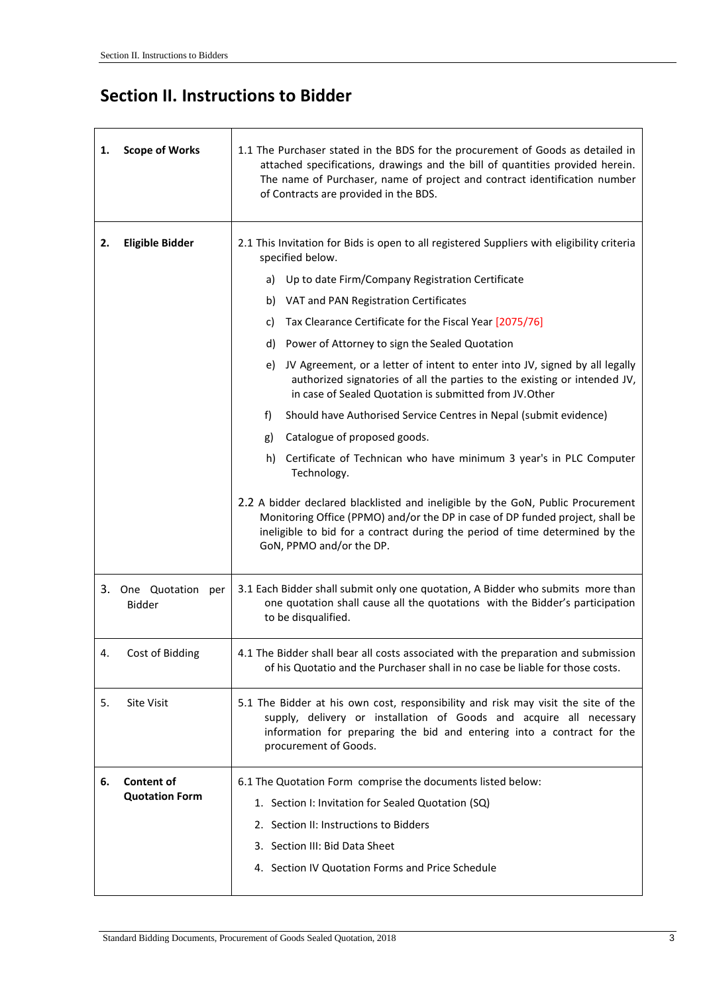## <span id="page-3-0"></span>**Section II. Instructions to Bidder**

| 1. | <b>Scope of Works</b>          | 1.1 The Purchaser stated in the BDS for the procurement of Goods as detailed in<br>attached specifications, drawings and the bill of quantities provided herein.<br>The name of Purchaser, name of project and contract identification number<br>of Contracts are provided in the BDS. |  |  |  |  |  |
|----|--------------------------------|----------------------------------------------------------------------------------------------------------------------------------------------------------------------------------------------------------------------------------------------------------------------------------------|--|--|--|--|--|
| 2. | <b>Eligible Bidder</b>         | 2.1 This Invitation for Bids is open to all registered Suppliers with eligibility criteria<br>specified below.                                                                                                                                                                         |  |  |  |  |  |
|    |                                | Up to date Firm/Company Registration Certificate<br>a)                                                                                                                                                                                                                                 |  |  |  |  |  |
|    |                                | VAT and PAN Registration Certificates<br>b)                                                                                                                                                                                                                                            |  |  |  |  |  |
|    |                                | Tax Clearance Certificate for the Fiscal Year [2075/76]<br>c)                                                                                                                                                                                                                          |  |  |  |  |  |
|    |                                | Power of Attorney to sign the Sealed Quotation<br>d)                                                                                                                                                                                                                                   |  |  |  |  |  |
|    |                                | JV Agreement, or a letter of intent to enter into JV, signed by all legally<br>e)<br>authorized signatories of all the parties to the existing or intended JV,<br>in case of Sealed Quotation is submitted from JV. Other                                                              |  |  |  |  |  |
|    |                                | Should have Authorised Service Centres in Nepal (submit evidence)<br>f)                                                                                                                                                                                                                |  |  |  |  |  |
|    |                                | Catalogue of proposed goods.<br>g)                                                                                                                                                                                                                                                     |  |  |  |  |  |
|    |                                | Certificate of Technican who have minimum 3 year's in PLC Computer<br>h)<br>Technology.                                                                                                                                                                                                |  |  |  |  |  |
|    |                                | 2.2 A bidder declared blacklisted and ineligible by the GoN, Public Procurement<br>Monitoring Office (PPMO) and/or the DP in case of DP funded project, shall be<br>ineligible to bid for a contract during the period of time determined by the<br>GoN, PPMO and/or the DP.           |  |  |  |  |  |
|    | 3. One Quotation per<br>Bidder | 3.1 Each Bidder shall submit only one quotation, A Bidder who submits more than<br>one quotation shall cause all the quotations with the Bidder's participation<br>to be disqualified.                                                                                                 |  |  |  |  |  |
| 4. | Cost of Bidding                | 4.1 The Bidder shall bear all costs associated with the preparation and submission<br>of his Quotatio and the Purchaser shall in no case be liable for those costs.                                                                                                                    |  |  |  |  |  |
| 5. | <b>Site Visit</b>              | 5.1 The Bidder at his own cost, responsibility and risk may visit the site of the<br>supply, delivery or installation of Goods and acquire all necessary<br>information for preparing the bid and entering into a contract for the<br>procurement of Goods.                            |  |  |  |  |  |
| 6. | <b>Content of</b>              | 6.1 The Quotation Form comprise the documents listed below:                                                                                                                                                                                                                            |  |  |  |  |  |
|    | <b>Quotation Form</b>          | 1. Section I: Invitation for Sealed Quotation (SQ)                                                                                                                                                                                                                                     |  |  |  |  |  |
|    |                                | 2. Section II: Instructions to Bidders                                                                                                                                                                                                                                                 |  |  |  |  |  |
|    |                                | 3. Section III: Bid Data Sheet                                                                                                                                                                                                                                                         |  |  |  |  |  |
|    |                                | 4. Section IV Quotation Forms and Price Schedule                                                                                                                                                                                                                                       |  |  |  |  |  |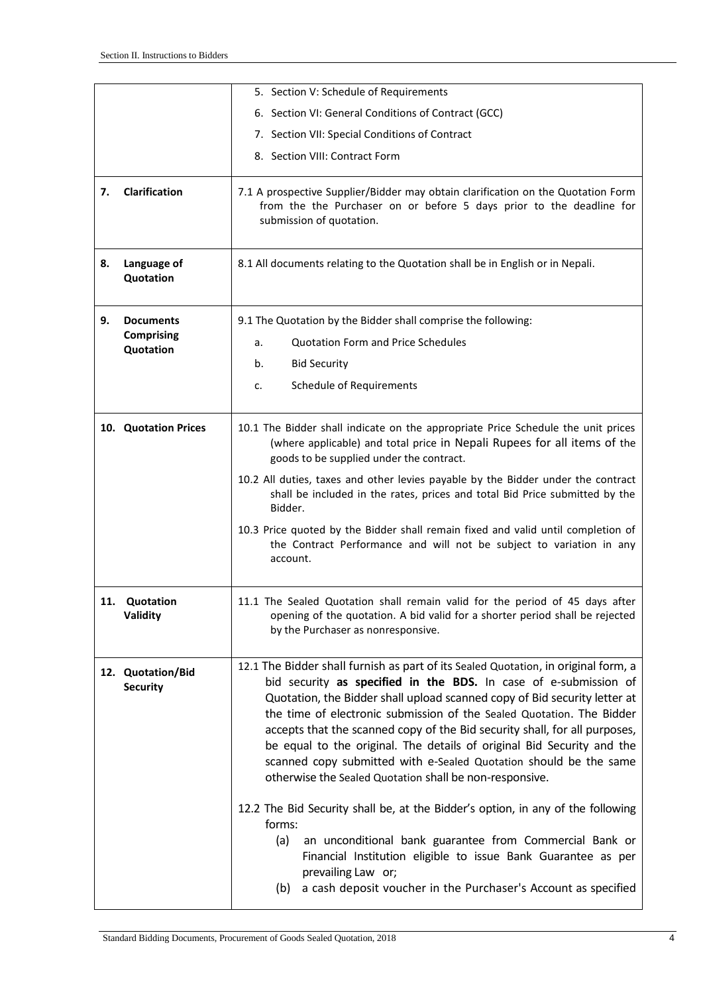|    |                                      | 5. Section V: Schedule of Requirements                                                                                                                                                                                                                                                                                                                                                                                                                                                                                                                                                               |
|----|--------------------------------------|------------------------------------------------------------------------------------------------------------------------------------------------------------------------------------------------------------------------------------------------------------------------------------------------------------------------------------------------------------------------------------------------------------------------------------------------------------------------------------------------------------------------------------------------------------------------------------------------------|
|    |                                      | 6. Section VI: General Conditions of Contract (GCC)                                                                                                                                                                                                                                                                                                                                                                                                                                                                                                                                                  |
|    |                                      | 7. Section VII: Special Conditions of Contract                                                                                                                                                                                                                                                                                                                                                                                                                                                                                                                                                       |
|    |                                      | 8. Section VIII: Contract Form                                                                                                                                                                                                                                                                                                                                                                                                                                                                                                                                                                       |
| 7. | Clarification                        | 7.1 A prospective Supplier/Bidder may obtain clarification on the Quotation Form<br>from the the Purchaser on or before 5 days prior to the deadline for<br>submission of quotation.                                                                                                                                                                                                                                                                                                                                                                                                                 |
| 8. | Language of<br>Quotation             | 8.1 All documents relating to the Quotation shall be in English or in Nepali.                                                                                                                                                                                                                                                                                                                                                                                                                                                                                                                        |
| 9. | <b>Documents</b>                     | 9.1 The Quotation by the Bidder shall comprise the following:                                                                                                                                                                                                                                                                                                                                                                                                                                                                                                                                        |
|    | <b>Comprising</b><br>Quotation       | <b>Quotation Form and Price Schedules</b><br>a.                                                                                                                                                                                                                                                                                                                                                                                                                                                                                                                                                      |
|    |                                      | <b>Bid Security</b><br>b.                                                                                                                                                                                                                                                                                                                                                                                                                                                                                                                                                                            |
|    |                                      | <b>Schedule of Requirements</b><br>c.                                                                                                                                                                                                                                                                                                                                                                                                                                                                                                                                                                |
|    | 10. Quotation Prices                 | 10.1 The Bidder shall indicate on the appropriate Price Schedule the unit prices<br>(where applicable) and total price in Nepali Rupees for all items of the<br>goods to be supplied under the contract.                                                                                                                                                                                                                                                                                                                                                                                             |
|    |                                      | 10.2 All duties, taxes and other levies payable by the Bidder under the contract<br>shall be included in the rates, prices and total Bid Price submitted by the<br>Bidder.                                                                                                                                                                                                                                                                                                                                                                                                                           |
|    |                                      | 10.3 Price quoted by the Bidder shall remain fixed and valid until completion of<br>the Contract Performance and will not be subject to variation in any<br>account.                                                                                                                                                                                                                                                                                                                                                                                                                                 |
|    | 11. Quotation<br>Validity            | 11.1 The Sealed Quotation shall remain valid for the period of 45 days after<br>opening of the quotation. A bid valid for a shorter period shall be rejected<br>by the Purchaser as nonresponsive.                                                                                                                                                                                                                                                                                                                                                                                                   |
|    | 12. Quotation/Bid<br><b>Security</b> | 12.1 The Bidder shall furnish as part of its Sealed Quotation, in original form, a<br>bid security as specified in the BDS. In case of e-submission of<br>Quotation, the Bidder shall upload scanned copy of Bid security letter at<br>the time of electronic submission of the Sealed Quotation. The Bidder<br>accepts that the scanned copy of the Bid security shall, for all purposes,<br>be equal to the original. The details of original Bid Security and the<br>scanned copy submitted with e-Sealed Quotation should be the same<br>otherwise the Sealed Quotation shall be non-responsive. |
|    |                                      | 12.2 The Bid Security shall be, at the Bidder's option, in any of the following<br>forms:<br>an unconditional bank guarantee from Commercial Bank or<br>(a)<br>Financial Institution eligible to issue Bank Guarantee as per<br>prevailing Law or;<br>a cash deposit voucher in the Purchaser's Account as specified<br>(b)                                                                                                                                                                                                                                                                          |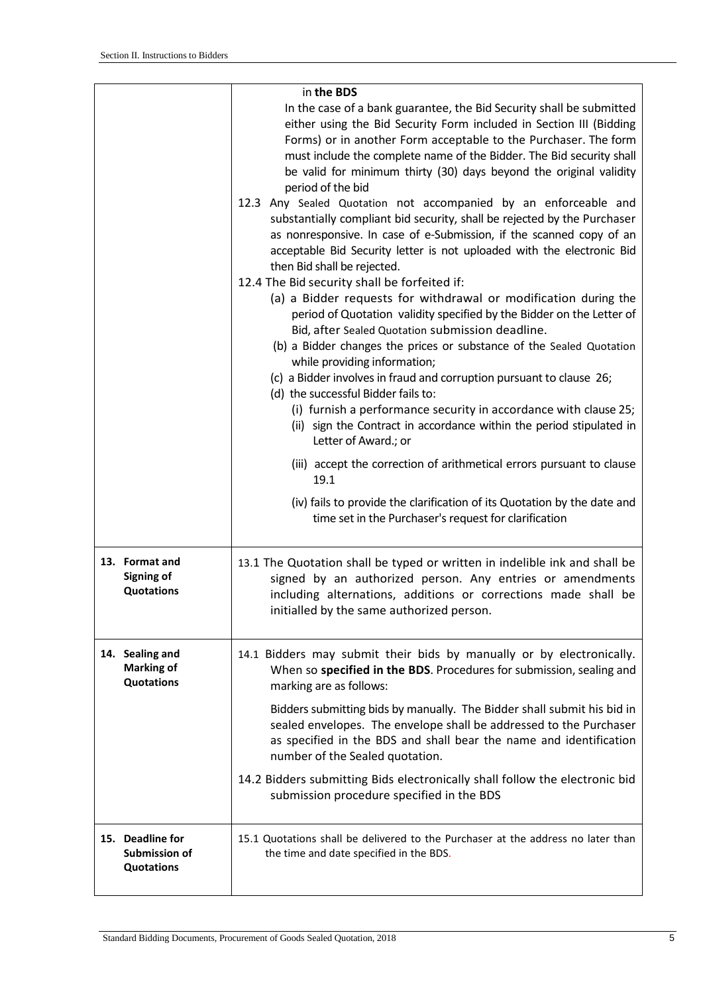|                                                        | in the BDS                                                                                                                                                                                                                                                                                                                                                                                                                                                                                                                                                                                                                                                                                                                                                                                                                                                                                                                                                                                                                                                                                                                                                                                                                                                                                                                                                                                                                                                                                                                                                                         |
|--------------------------------------------------------|------------------------------------------------------------------------------------------------------------------------------------------------------------------------------------------------------------------------------------------------------------------------------------------------------------------------------------------------------------------------------------------------------------------------------------------------------------------------------------------------------------------------------------------------------------------------------------------------------------------------------------------------------------------------------------------------------------------------------------------------------------------------------------------------------------------------------------------------------------------------------------------------------------------------------------------------------------------------------------------------------------------------------------------------------------------------------------------------------------------------------------------------------------------------------------------------------------------------------------------------------------------------------------------------------------------------------------------------------------------------------------------------------------------------------------------------------------------------------------------------------------------------------------------------------------------------------------|
|                                                        | In the case of a bank guarantee, the Bid Security shall be submitted<br>either using the Bid Security Form included in Section III (Bidding<br>Forms) or in another Form acceptable to the Purchaser. The form<br>must include the complete name of the Bidder. The Bid security shall<br>be valid for minimum thirty (30) days beyond the original validity<br>period of the bid<br>12.3 Any Sealed Quotation not accompanied by an enforceable and<br>substantially compliant bid security, shall be rejected by the Purchaser<br>as nonresponsive. In case of e-Submission, if the scanned copy of an<br>acceptable Bid Security letter is not uploaded with the electronic Bid<br>then Bid shall be rejected.<br>12.4 The Bid security shall be forfeited if:<br>(a) a Bidder requests for withdrawal or modification during the<br>period of Quotation validity specified by the Bidder on the Letter of<br>Bid, after Sealed Quotation submission deadline.<br>(b) a Bidder changes the prices or substance of the Sealed Quotation<br>while providing information;<br>(c) a Bidder involves in fraud and corruption pursuant to clause 26;<br>(d) the successful Bidder fails to:<br>(i) furnish a performance security in accordance with clause 25;<br>(ii) sign the Contract in accordance within the period stipulated in<br>Letter of Award.; or<br>(iii) accept the correction of arithmetical errors pursuant to clause<br>19.1<br>(iv) fails to provide the clarification of its Quotation by the date and<br>time set in the Purchaser's request for clarification |
| 13. Format and<br>Signing of<br><b>Quotations</b>      | 13.1 The Quotation shall be typed or written in indelible ink and shall be<br>signed by an authorized person. Any entries or amendments<br>including alternations, additions or corrections made shall be<br>initialled by the same authorized person.                                                                                                                                                                                                                                                                                                                                                                                                                                                                                                                                                                                                                                                                                                                                                                                                                                                                                                                                                                                                                                                                                                                                                                                                                                                                                                                             |
| 14. Sealing and<br><b>Marking of</b><br>Quotations     | 14.1 Bidders may submit their bids by manually or by electronically.<br>When so specified in the BDS. Procedures for submission, sealing and<br>marking are as follows:<br>Bidders submitting bids by manually. The Bidder shall submit his bid in<br>sealed envelopes. The envelope shall be addressed to the Purchaser<br>as specified in the BDS and shall bear the name and identification<br>number of the Sealed quotation.<br>14.2 Bidders submitting Bids electronically shall follow the electronic bid<br>submission procedure specified in the BDS                                                                                                                                                                                                                                                                                                                                                                                                                                                                                                                                                                                                                                                                                                                                                                                                                                                                                                                                                                                                                      |
| 15. Deadline for<br>Submission of<br><b>Quotations</b> | 15.1 Quotations shall be delivered to the Purchaser at the address no later than<br>the time and date specified in the BDS.                                                                                                                                                                                                                                                                                                                                                                                                                                                                                                                                                                                                                                                                                                                                                                                                                                                                                                                                                                                                                                                                                                                                                                                                                                                                                                                                                                                                                                                        |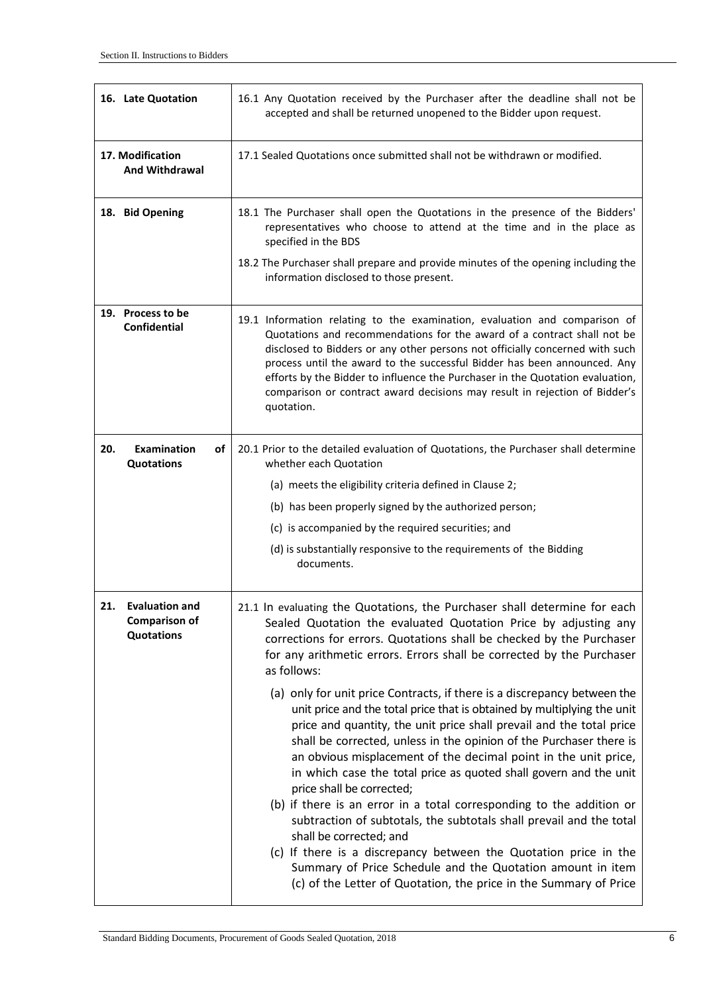| 16. Late Quotation                                                        | 16.1 Any Quotation received by the Purchaser after the deadline shall not be<br>accepted and shall be returned unopened to the Bidder upon request.                                                                                                                                                                                                                                                                                                                                                                                                                                                                                                                                                                                                                          |  |  |  |  |
|---------------------------------------------------------------------------|------------------------------------------------------------------------------------------------------------------------------------------------------------------------------------------------------------------------------------------------------------------------------------------------------------------------------------------------------------------------------------------------------------------------------------------------------------------------------------------------------------------------------------------------------------------------------------------------------------------------------------------------------------------------------------------------------------------------------------------------------------------------------|--|--|--|--|
| 17. Modification<br><b>And Withdrawal</b>                                 | 17.1 Sealed Quotations once submitted shall not be withdrawn or modified.                                                                                                                                                                                                                                                                                                                                                                                                                                                                                                                                                                                                                                                                                                    |  |  |  |  |
| 18. Bid Opening                                                           | 18.1 The Purchaser shall open the Quotations in the presence of the Bidders'<br>representatives who choose to attend at the time and in the place as<br>specified in the BDS                                                                                                                                                                                                                                                                                                                                                                                                                                                                                                                                                                                                 |  |  |  |  |
|                                                                           | 18.2 The Purchaser shall prepare and provide minutes of the opening including the<br>information disclosed to those present.                                                                                                                                                                                                                                                                                                                                                                                                                                                                                                                                                                                                                                                 |  |  |  |  |
| 19. Process to be<br><b>Confidential</b>                                  | 19.1 Information relating to the examination, evaluation and comparison of<br>Quotations and recommendations for the award of a contract shall not be<br>disclosed to Bidders or any other persons not officially concerned with such<br>process until the award to the successful Bidder has been announced. Any<br>efforts by the Bidder to influence the Purchaser in the Quotation evaluation,<br>comparison or contract award decisions may result in rejection of Bidder's<br>quotation.                                                                                                                                                                                                                                                                               |  |  |  |  |
| 20.<br><b>Examination</b><br>of<br><b>Quotations</b>                      | 20.1 Prior to the detailed evaluation of Quotations, the Purchaser shall determine<br>whether each Quotation                                                                                                                                                                                                                                                                                                                                                                                                                                                                                                                                                                                                                                                                 |  |  |  |  |
|                                                                           | (a) meets the eligibility criteria defined in Clause 2;                                                                                                                                                                                                                                                                                                                                                                                                                                                                                                                                                                                                                                                                                                                      |  |  |  |  |
|                                                                           | (b) has been properly signed by the authorized person;                                                                                                                                                                                                                                                                                                                                                                                                                                                                                                                                                                                                                                                                                                                       |  |  |  |  |
|                                                                           | (c) is accompanied by the required securities; and                                                                                                                                                                                                                                                                                                                                                                                                                                                                                                                                                                                                                                                                                                                           |  |  |  |  |
|                                                                           | (d) is substantially responsive to the requirements of the Bidding<br>documents.                                                                                                                                                                                                                                                                                                                                                                                                                                                                                                                                                                                                                                                                                             |  |  |  |  |
| <b>Evaluation and</b><br>21.<br><b>Comparison of</b><br><b>Quotations</b> | 21.1 In evaluating the Quotations, the Purchaser shall determine for each<br>Sealed Quotation the evaluated Quotation Price by adjusting any<br>corrections for errors. Quotations shall be checked by the Purchaser<br>for any arithmetic errors. Errors shall be corrected by the Purchaser<br>as follows:<br>(a) only for unit price Contracts, if there is a discrepancy between the                                                                                                                                                                                                                                                                                                                                                                                     |  |  |  |  |
|                                                                           | unit price and the total price that is obtained by multiplying the unit<br>price and quantity, the unit price shall prevail and the total price<br>shall be corrected, unless in the opinion of the Purchaser there is<br>an obvious misplacement of the decimal point in the unit price,<br>in which case the total price as quoted shall govern and the unit<br>price shall be corrected;<br>(b) if there is an error in a total corresponding to the addition or<br>subtraction of subtotals, the subtotals shall prevail and the total<br>shall be corrected; and<br>(c) If there is a discrepancy between the Quotation price in the<br>Summary of Price Schedule and the Quotation amount in item<br>(c) of the Letter of Quotation, the price in the Summary of Price |  |  |  |  |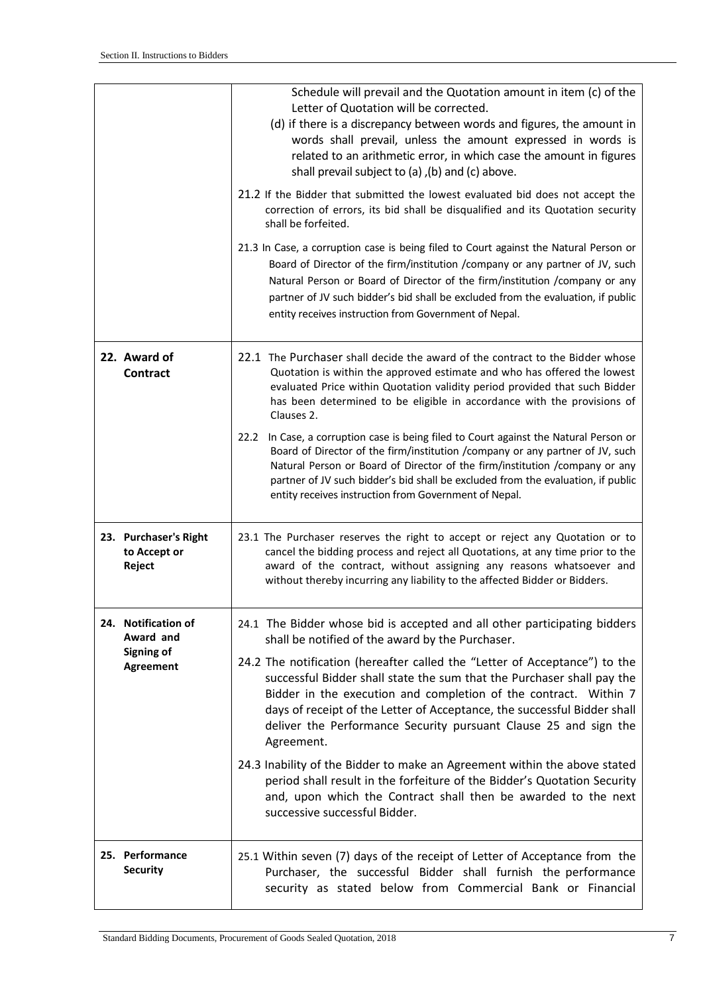|                                                 | Schedule will prevail and the Quotation amount in item (c) of the<br>Letter of Quotation will be corrected.<br>(d) if there is a discrepancy between words and figures, the amount in<br>words shall prevail, unless the amount expressed in words is<br>related to an arithmetic error, in which case the amount in figures<br>shall prevail subject to (a), (b) and (c) above.<br>21.2 If the Bidder that submitted the lowest evaluated bid does not accept the<br>correction of errors, its bid shall be disqualified and its Quotation security<br>shall be forfeited.<br>21.3 In Case, a corruption case is being filed to Court against the Natural Person or<br>Board of Director of the firm/institution /company or any partner of JV, such |
|-------------------------------------------------|-------------------------------------------------------------------------------------------------------------------------------------------------------------------------------------------------------------------------------------------------------------------------------------------------------------------------------------------------------------------------------------------------------------------------------------------------------------------------------------------------------------------------------------------------------------------------------------------------------------------------------------------------------------------------------------------------------------------------------------------------------|
|                                                 | Natural Person or Board of Director of the firm/institution /company or any<br>partner of JV such bidder's bid shall be excluded from the evaluation, if public<br>entity receives instruction from Government of Nepal.                                                                                                                                                                                                                                                                                                                                                                                                                                                                                                                              |
| 22. Award of<br><b>Contract</b>                 | 22.1 The Purchaser shall decide the award of the contract to the Bidder whose<br>Quotation is within the approved estimate and who has offered the lowest<br>evaluated Price within Quotation validity period provided that such Bidder<br>has been determined to be eligible in accordance with the provisions of<br>Clauses 2.                                                                                                                                                                                                                                                                                                                                                                                                                      |
|                                                 | In Case, a corruption case is being filed to Court against the Natural Person or<br>22.2<br>Board of Director of the firm/institution /company or any partner of JV, such<br>Natural Person or Board of Director of the firm/institution /company or any<br>partner of JV such bidder's bid shall be excluded from the evaluation, if public<br>entity receives instruction from Government of Nepal.                                                                                                                                                                                                                                                                                                                                                 |
| 23. Purchaser's Right<br>to Accept or<br>Reject | 23.1 The Purchaser reserves the right to accept or reject any Quotation or to<br>cancel the bidding process and reject all Quotations, at any time prior to the<br>award of the contract, without assigning any reasons whatsoever and<br>without thereby incurring any liability to the affected Bidder or Bidders.                                                                                                                                                                                                                                                                                                                                                                                                                                  |
| 24. Notification of<br>Award and                | 24.1 The Bidder whose bid is accepted and all other participating bidders<br>shall be notified of the award by the Purchaser.                                                                                                                                                                                                                                                                                                                                                                                                                                                                                                                                                                                                                         |
| <b>Signing of</b><br><b>Agreement</b>           | 24.2 The notification (hereafter called the "Letter of Acceptance") to the<br>successful Bidder shall state the sum that the Purchaser shall pay the<br>Bidder in the execution and completion of the contract. Within 7<br>days of receipt of the Letter of Acceptance, the successful Bidder shall<br>deliver the Performance Security pursuant Clause 25 and sign the<br>Agreement.                                                                                                                                                                                                                                                                                                                                                                |
|                                                 | 24.3 Inability of the Bidder to make an Agreement within the above stated<br>period shall result in the forfeiture of the Bidder's Quotation Security<br>and, upon which the Contract shall then be awarded to the next<br>successive successful Bidder.                                                                                                                                                                                                                                                                                                                                                                                                                                                                                              |
| 25. Performance<br><b>Security</b>              | 25.1 Within seven (7) days of the receipt of Letter of Acceptance from the<br>Purchaser, the successful Bidder shall furnish the performance<br>security as stated below from Commercial Bank or Financial                                                                                                                                                                                                                                                                                                                                                                                                                                                                                                                                            |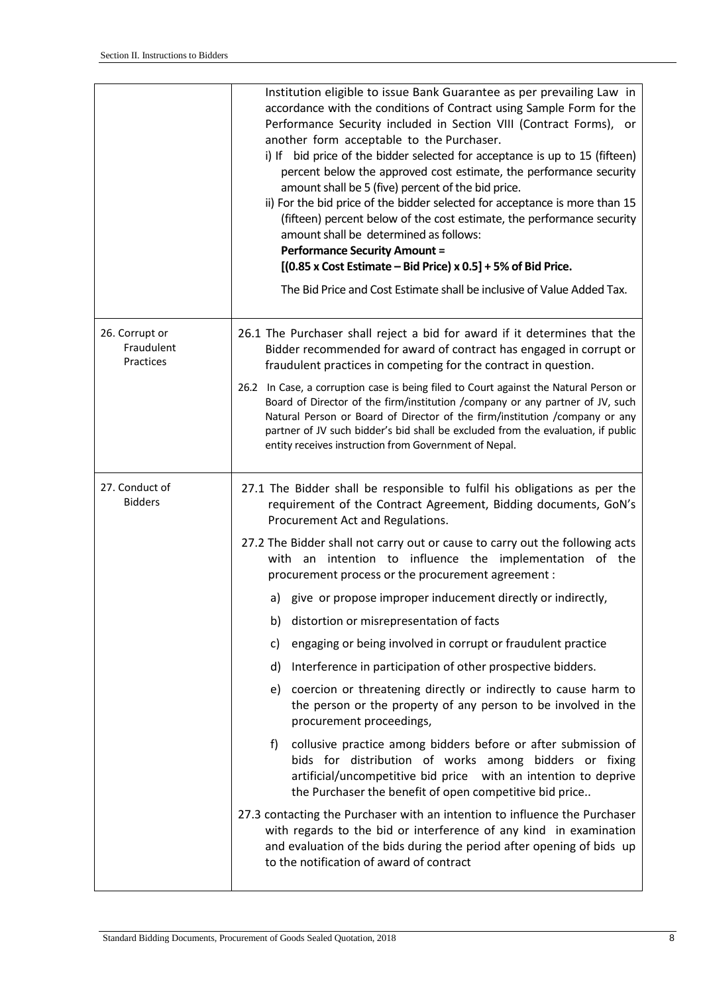|                                           | Institution eligible to issue Bank Guarantee as per prevailing Law in<br>accordance with the conditions of Contract using Sample Form for the<br>Performance Security included in Section VIII (Contract Forms), or<br>another form acceptable to the Purchaser.<br>i) If bid price of the bidder selected for acceptance is up to 15 (fifteen)<br>percent below the approved cost estimate, the performance security<br>amount shall be 5 (five) percent of the bid price.<br>ii) For the bid price of the bidder selected for acceptance is more than 15<br>(fifteen) percent below of the cost estimate, the performance security<br>amount shall be determined as follows:<br><b>Performance Security Amount =</b><br>$[(0.85 \times Cost Estimate - Bid Price) \times 0.5] + 5\%$ of Bid Price.<br>The Bid Price and Cost Estimate shall be inclusive of Value Added Tax.                                                                                                                                                                                                                                                                                                                                                                                                                                                                                    |
|-------------------------------------------|-------------------------------------------------------------------------------------------------------------------------------------------------------------------------------------------------------------------------------------------------------------------------------------------------------------------------------------------------------------------------------------------------------------------------------------------------------------------------------------------------------------------------------------------------------------------------------------------------------------------------------------------------------------------------------------------------------------------------------------------------------------------------------------------------------------------------------------------------------------------------------------------------------------------------------------------------------------------------------------------------------------------------------------------------------------------------------------------------------------------------------------------------------------------------------------------------------------------------------------------------------------------------------------------------------------------------------------------------------------------|
| 26. Corrupt or<br>Fraudulent<br>Practices | 26.1 The Purchaser shall reject a bid for award if it determines that the<br>Bidder recommended for award of contract has engaged in corrupt or<br>fraudulent practices in competing for the contract in question.<br>26.2 In Case, a corruption case is being filed to Court against the Natural Person or<br>Board of Director of the firm/institution /company or any partner of JV, such<br>Natural Person or Board of Director of the firm/institution /company or any<br>partner of JV such bidder's bid shall be excluded from the evaluation, if public<br>entity receives instruction from Government of Nepal.                                                                                                                                                                                                                                                                                                                                                                                                                                                                                                                                                                                                                                                                                                                                          |
| 27. Conduct of<br><b>Bidders</b>          | 27.1 The Bidder shall be responsible to fulfil his obligations as per the<br>requirement of the Contract Agreement, Bidding documents, GoN's<br>Procurement Act and Regulations.<br>27.2 The Bidder shall not carry out or cause to carry out the following acts<br>with an intention to influence the implementation of the<br>procurement process or the procurement agreement :<br>a) give or propose improper inducement directly or indirectly,<br>distortion or misrepresentation of facts<br>b)<br>engaging or being involved in corrupt or fraudulent practice<br>c)<br>Interference in participation of other prospective bidders.<br>d)<br>coercion or threatening directly or indirectly to cause harm to<br>e)<br>the person or the property of any person to be involved in the<br>procurement proceedings,<br>f)<br>collusive practice among bidders before or after submission of<br>bids for distribution of works among bidders or fixing<br>artificial/uncompetitive bid price with an intention to deprive<br>the Purchaser the benefit of open competitive bid price<br>27.3 contacting the Purchaser with an intention to influence the Purchaser<br>with regards to the bid or interference of any kind in examination<br>and evaluation of the bids during the period after opening of bids up<br>to the notification of award of contract |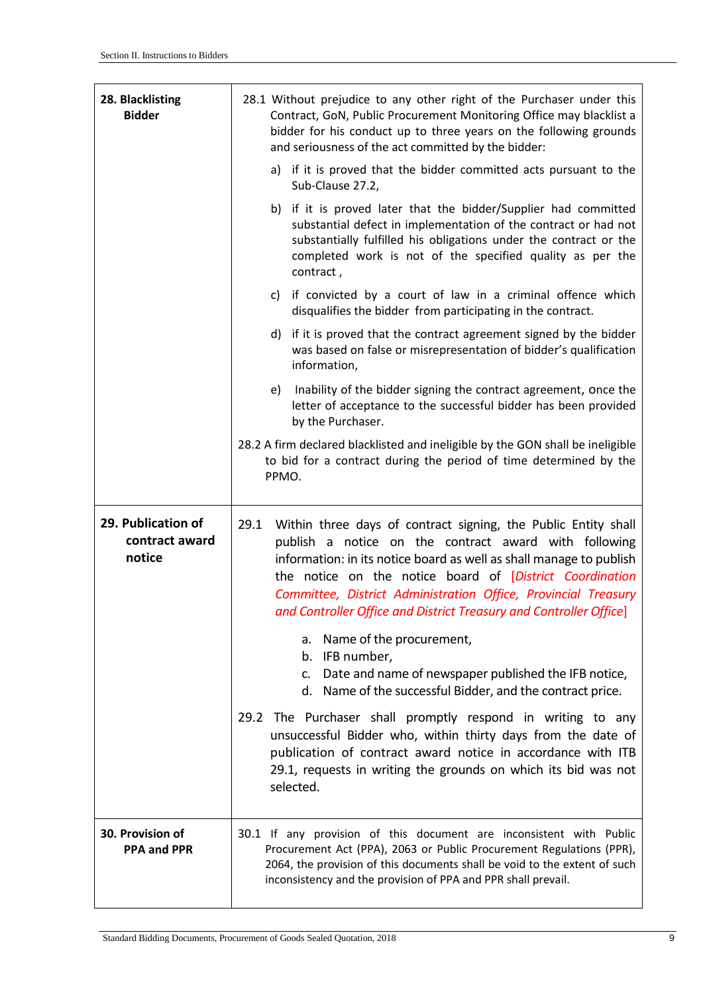| 28. Blacklisting<br><b>Bidder</b>              | 28.1 Without prejudice to any other right of the Purchaser under this<br>Contract, GoN, Public Procurement Monitoring Office may blacklist a<br>bidder for his conduct up to three years on the following grounds<br>and seriousness of the act committed by the bidder:                                                                                                                                   |  |  |  |  |
|------------------------------------------------|------------------------------------------------------------------------------------------------------------------------------------------------------------------------------------------------------------------------------------------------------------------------------------------------------------------------------------------------------------------------------------------------------------|--|--|--|--|
|                                                | a) if it is proved that the bidder committed acts pursuant to the<br>Sub-Clause 27.2,                                                                                                                                                                                                                                                                                                                      |  |  |  |  |
|                                                | b) if it is proved later that the bidder/Supplier had committed<br>substantial defect in implementation of the contract or had not<br>substantially fulfilled his obligations under the contract or the<br>completed work is not of the specified quality as per the<br>contract,                                                                                                                          |  |  |  |  |
|                                                | c) if convicted by a court of law in a criminal offence which<br>disqualifies the bidder from participating in the contract.                                                                                                                                                                                                                                                                               |  |  |  |  |
|                                                | d) if it is proved that the contract agreement signed by the bidder<br>was based on false or misrepresentation of bidder's qualification<br>information,                                                                                                                                                                                                                                                   |  |  |  |  |
|                                                | Inability of the bidder signing the contract agreement, once the<br>e)<br>letter of acceptance to the successful bidder has been provided<br>by the Purchaser.                                                                                                                                                                                                                                             |  |  |  |  |
|                                                | 28.2 A firm declared blacklisted and ineligible by the GON shall be ineligible<br>to bid for a contract during the period of time determined by the<br>PPMO.                                                                                                                                                                                                                                               |  |  |  |  |
| 29. Publication of<br>contract award<br>notice | 29.1<br>Within three days of contract signing, the Public Entity shall<br>publish a notice on the contract award with following<br>information: in its notice board as well as shall manage to publish<br>the notice on the notice board of [District Coordination<br>Committee, District Administration Office, Provincial Treasury<br>and Controller Office and District Treasury and Controller Office] |  |  |  |  |
|                                                | Name of the procurement,<br>a.<br>b. IFB number,<br>c. Date and name of newspaper published the IFB notice,<br>d. Name of the successful Bidder, and the contract price.                                                                                                                                                                                                                                   |  |  |  |  |
|                                                | 29.2 The Purchaser shall promptly respond in writing to any<br>unsuccessful Bidder who, within thirty days from the date of<br>publication of contract award notice in accordance with ITB<br>29.1, requests in writing the grounds on which its bid was not<br>selected.                                                                                                                                  |  |  |  |  |
| 30. Provision of<br><b>PPA and PPR</b>         | 30.1 If any provision of this document are inconsistent with Public<br>Procurement Act (PPA), 2063 or Public Procurement Regulations (PPR),<br>2064, the provision of this documents shall be void to the extent of such<br>inconsistency and the provision of PPA and PPR shall prevail.                                                                                                                  |  |  |  |  |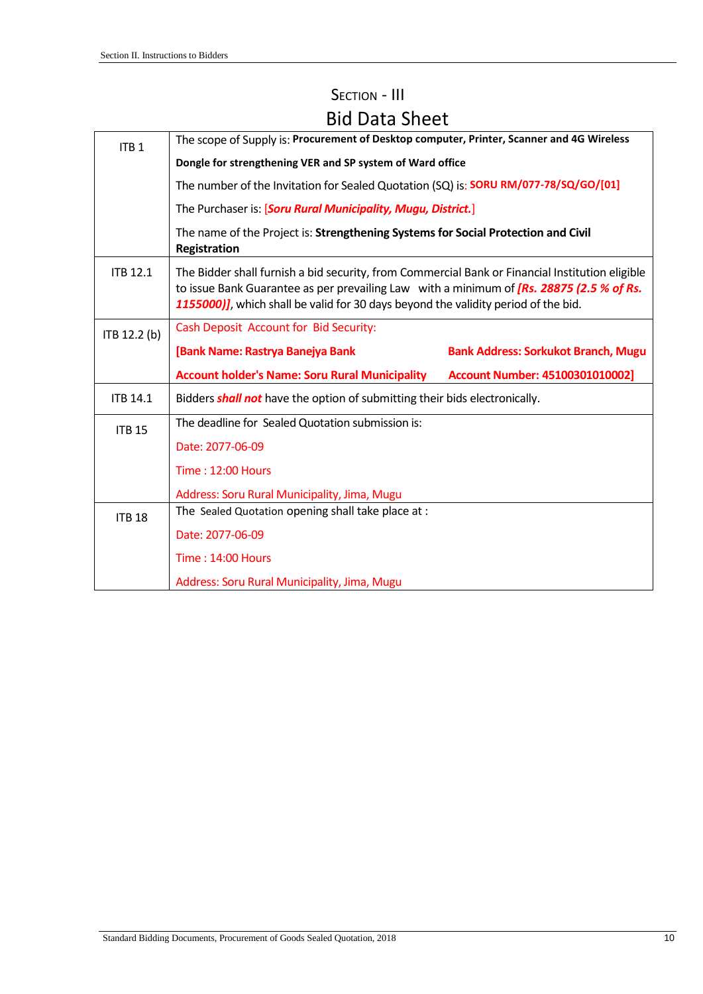| ITB <sub>1</sub> | The scope of Supply is: Procurement of Desktop computer, Printer, Scanner and 4G Wireless                                                                                                                                                                                         |                                                                                   |  |  |  |  |  |
|------------------|-----------------------------------------------------------------------------------------------------------------------------------------------------------------------------------------------------------------------------------------------------------------------------------|-----------------------------------------------------------------------------------|--|--|--|--|--|
|                  | Dongle for strengthening VER and SP system of Ward office                                                                                                                                                                                                                         |                                                                                   |  |  |  |  |  |
|                  | The number of the Invitation for Sealed Quotation (SQ) is: SORU RM/077-78/SQ/GO/[01]                                                                                                                                                                                              |                                                                                   |  |  |  |  |  |
|                  | The Purchaser is: [Soru Rural Municipality, Mugu, District.]                                                                                                                                                                                                                      |                                                                                   |  |  |  |  |  |
|                  | Registration                                                                                                                                                                                                                                                                      | The name of the Project is: Strengthening Systems for Social Protection and Civil |  |  |  |  |  |
| <b>ITB 12.1</b>  | The Bidder shall furnish a bid security, from Commercial Bank or Financial Institution eligible<br>to issue Bank Guarantee as per prevailing Law with a minimum of [Rs. 28875 (2.5 % of Rs.<br>1155000)], which shall be valid for 30 days beyond the validity period of the bid. |                                                                                   |  |  |  |  |  |
| ITB 12.2 (b)     | Cash Deposit Account for Bid Security:                                                                                                                                                                                                                                            |                                                                                   |  |  |  |  |  |
|                  | [Bank Name: Rastrya Banejya Bank                                                                                                                                                                                                                                                  | <b>Bank Address: Sorkukot Branch, Mugu</b>                                        |  |  |  |  |  |
|                  | <b>Account holder's Name: Soru Rural Municipality</b>                                                                                                                                                                                                                             | <b>Account Number: 45100301010002]</b>                                            |  |  |  |  |  |
| <b>ITB 14.1</b>  | Bidders <b>shall not</b> have the option of submitting their bids electronically.                                                                                                                                                                                                 |                                                                                   |  |  |  |  |  |
| <b>ITB 15</b>    | The deadline for Sealed Quotation submission is:                                                                                                                                                                                                                                  |                                                                                   |  |  |  |  |  |
|                  | Date: 2077-06-09                                                                                                                                                                                                                                                                  |                                                                                   |  |  |  |  |  |
|                  | <b>Time: 12:00 Hours</b>                                                                                                                                                                                                                                                          |                                                                                   |  |  |  |  |  |
|                  | Address: Soru Rural Municipality, Jima, Mugu                                                                                                                                                                                                                                      |                                                                                   |  |  |  |  |  |
|                  |                                                                                                                                                                                                                                                                                   |                                                                                   |  |  |  |  |  |
| <b>ITB 18</b>    | The Sealed Quotation opening shall take place at :                                                                                                                                                                                                                                |                                                                                   |  |  |  |  |  |
|                  | Date: 2077-06-09                                                                                                                                                                                                                                                                  |                                                                                   |  |  |  |  |  |
|                  | <b>Time: 14:00 Hours</b>                                                                                                                                                                                                                                                          |                                                                                   |  |  |  |  |  |

# SECTION - III Bid Data Sheet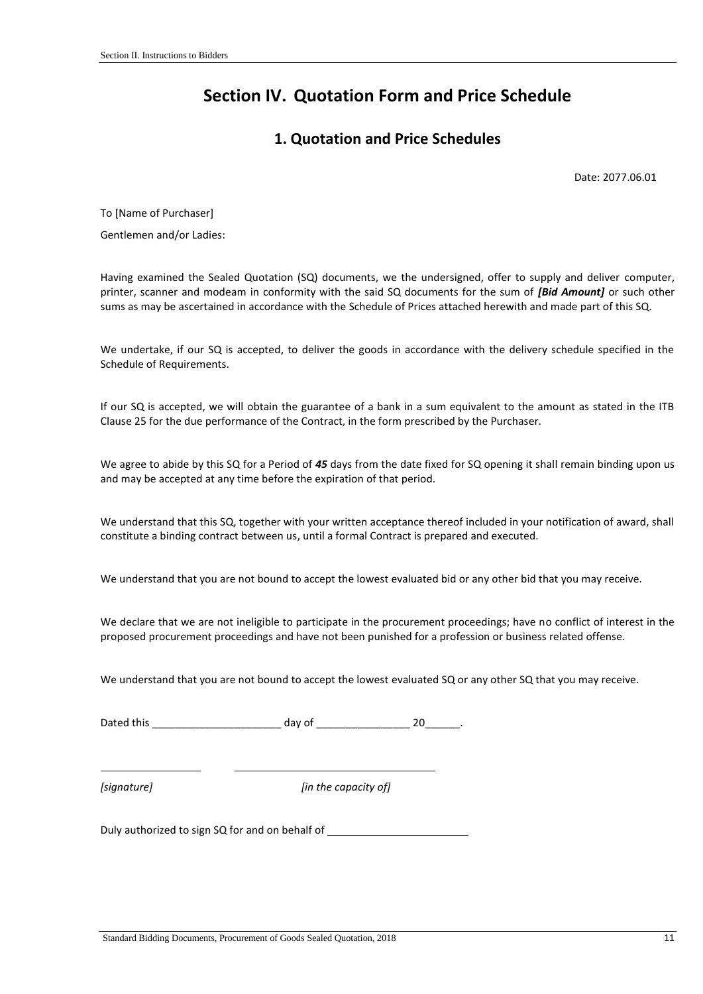# <span id="page-11-0"></span>**Section IV. Quotation Form and Price Schedule**

#### **1. Quotation and Price Schedules**

Date: 2077.06.01

To [Name of Purchaser]

Gentlemen and/or Ladies:

Having examined the Sealed Quotation (SQ) documents, we the undersigned, offer to supply and deliver computer, printer, scanner and modeam in conformity with the said SQ documents for the sum of *[Bid Amount]* or such other sums as may be ascertained in accordance with the Schedule of Prices attached herewith and made part of this SQ.

We undertake, if our SQ is accepted, to deliver the goods in accordance with the delivery schedule specified in the Schedule of Requirements.

If our SQ is accepted, we will obtain the guarantee of a bank in a sum equivalent to the amount as stated in the ITB Clause 25 for the due performance of the Contract, in the form prescribed by the Purchaser.

We agree to abide by this SQ for a Period of *45* days from the date fixed for SQ opening it shall remain binding upon us and may be accepted at any time before the expiration of that period.

We understand that this SQ, together with your written acceptance thereof included in your notification of award, shall constitute a binding contract between us, until a formal Contract is prepared and executed.

We understand that you are not bound to accept the lowest evaluated bid or any other bid that you may receive.

We declare that we are not ineligible to participate in the procurement proceedings; have no conflict of interest in the proposed procurement proceedings and have not been punished for a profession or business related offense.

We understand that you are not bound to accept the lowest evaluated SQ or any other SQ that you may receive.

Dated this \_\_\_\_\_\_\_\_\_\_\_\_\_\_\_\_\_\_\_\_\_\_ day of \_\_\_\_\_\_\_\_\_\_\_\_\_\_\_\_ 20\_\_\_\_\_\_.

*[signature] [in the capacity of]*

Duly authorized to sign SQ for and on behalf of \_\_\_\_\_\_\_\_\_\_\_\_\_\_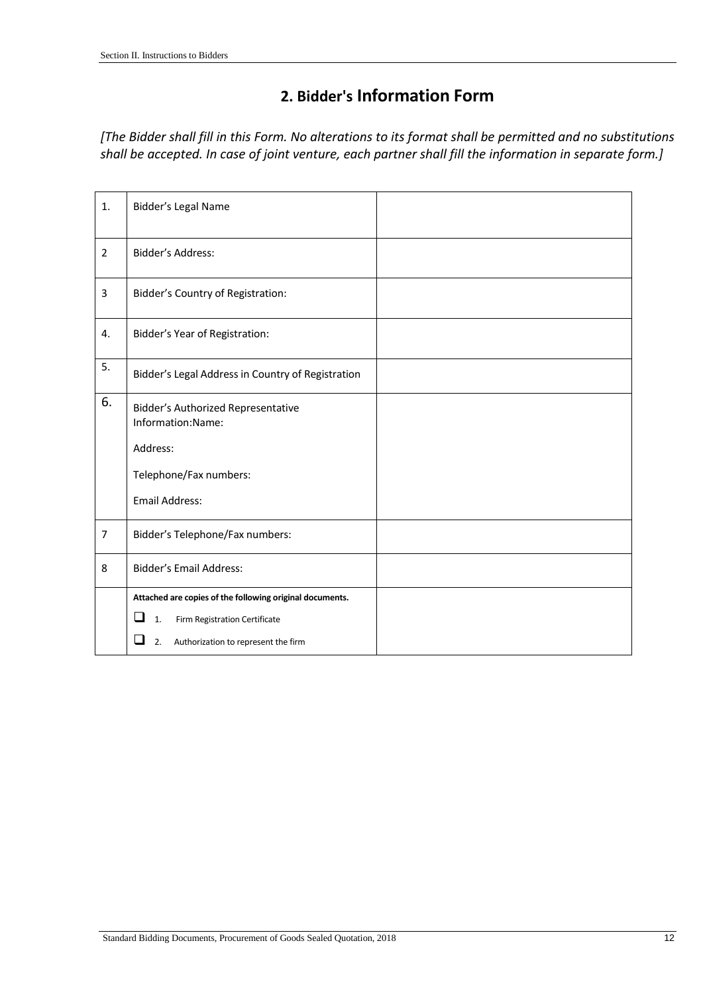## **2. Bidder's Information Form**

*[The Bidder shall fill in this Form. No alterations to its format shall be permitted and no substitutions shall be accepted. In case of joint venture, each partner shall fill the information in separate form.]*

| 1.             | Bidder's Legal Name                                            |  |
|----------------|----------------------------------------------------------------|--|
| $\overline{2}$ | Bidder's Address:                                              |  |
| 3              | <b>Bidder's Country of Registration:</b>                       |  |
| 4.             | Bidder's Year of Registration:                                 |  |
| 5.             | Bidder's Legal Address in Country of Registration              |  |
| 6.             | <b>Bidder's Authorized Representative</b><br>Information:Name: |  |
|                | Address:                                                       |  |
|                | Telephone/Fax numbers:                                         |  |
|                | <b>Email Address:</b>                                          |  |
| $\overline{7}$ | Bidder's Telephone/Fax numbers:                                |  |
| 8              | <b>Bidder's Email Address:</b>                                 |  |
|                | Attached are copies of the following original documents.       |  |
|                | $\Box$<br>Firm Registration Certificate<br>$\mathbf{1}$        |  |
|                | Authorization to represent the firm<br>2.                      |  |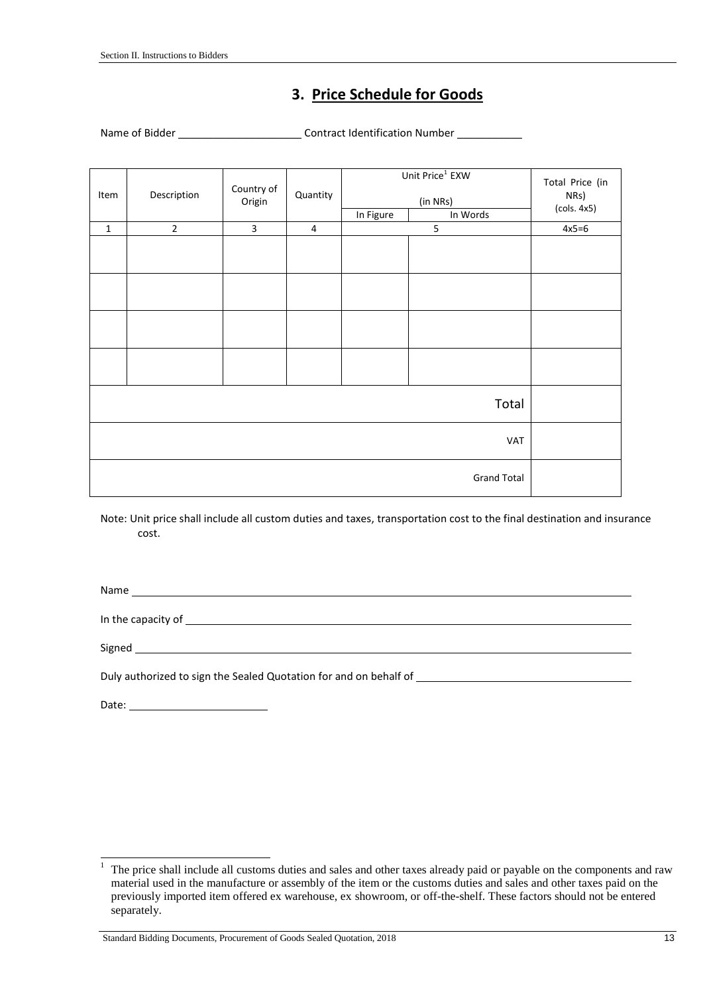### **3. Price Schedule for Goods**

Name of Bidder \_\_\_\_\_\_\_\_\_\_\_\_\_\_\_\_\_\_\_\_\_\_\_\_\_\_\_\_Contract Identification Number \_\_\_\_\_\_\_\_\_\_\_

| Item        | Description        | Country of<br>Origin | Quantity       |           | Unit Price <sup>1</sup> EXW<br>(in NRs) | Total Price (in<br>NRs)<br>(cols. 4x5) |  |
|-------------|--------------------|----------------------|----------------|-----------|-----------------------------------------|----------------------------------------|--|
|             |                    |                      |                | In Figure | In Words                                |                                        |  |
| $\mathbf 1$ | $\overline{2}$     | $\overline{3}$       | $\overline{4}$ |           | 5                                       | $4x5=6$                                |  |
|             |                    |                      |                |           |                                         |                                        |  |
|             |                    |                      |                |           |                                         |                                        |  |
|             |                    |                      |                |           |                                         |                                        |  |
|             |                    |                      |                |           |                                         |                                        |  |
|             | Total              |                      |                |           |                                         |                                        |  |
|             | VAT                |                      |                |           |                                         |                                        |  |
|             | <b>Grand Total</b> |                      |                |           |                                         |                                        |  |

Note: Unit price shall include all custom duties and taxes, transportation cost to the final destination and insurance cost.

Name and the state of the state of the state of the state of the state of the state of the state of the state of the state of the state of the state of the state of the state of the state of the state of the state of the s

In the capacity of **EXALC 2020 CONTROLLER CONTROLLER CONTROLLER CONTROLLER CONTROLLER CONTROLLER CONTROLLER CONTROLLER CONTROLLER CONTROLLER CONTROLLER CONTROLLER CONTROLLER CONTROLLER CONTROLLER CONTROLLER CONTROLLER CO** 

Signed

Duly authorized to sign the Sealed Quotation for and on behalf of \_\_\_\_\_\_\_\_\_\_\_\_\_\_\_

Date: when the contract of the contract of the contract of the contract of the contract of the contract of the contract of the contract of the contract of the contract of the contract of the contract of the contract of the

 $\,1$ The price shall include all customs duties and sales and other taxes already paid or payable on the components and raw material used in the manufacture or assembly of the item or the customs duties and sales and other taxes paid on the previously imported item offered ex warehouse, ex showroom, or off-the-shelf. These factors should not be entered separately.

Standard Bidding Documents, Procurement of Goods Sealed Quotation, 2018 13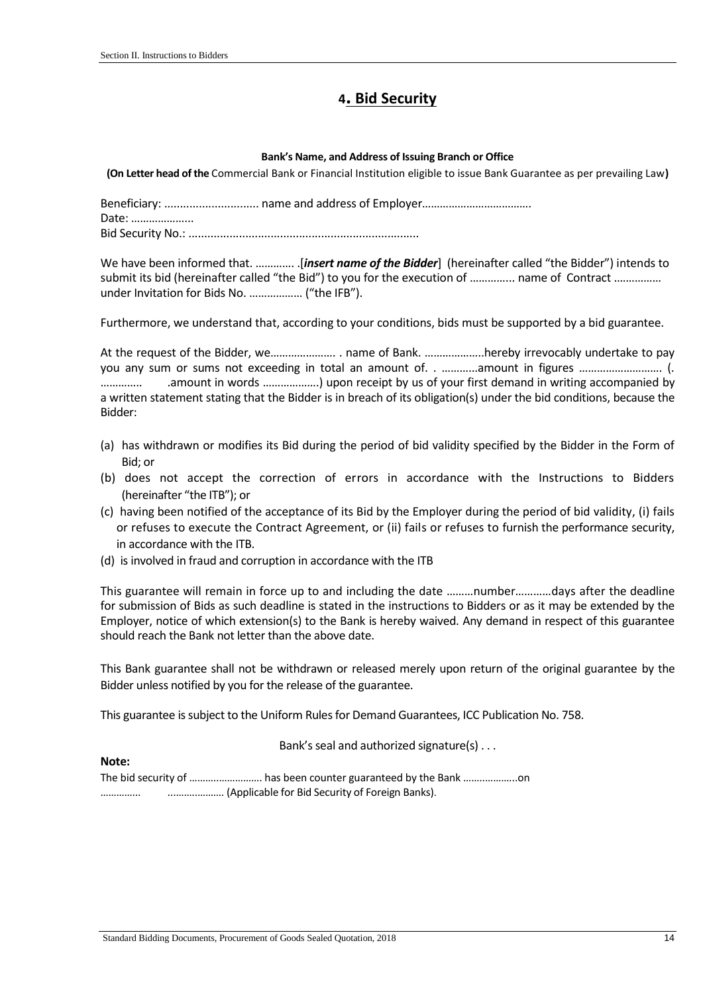#### **<sup>4</sup>. Bid Security**

#### **Bank's Name, and Address of Issuing Branch or Office**

**(On Letter head of the** Commercial Bank or Financial Institution eligible to issue Bank Guarantee as per prevailing Law**)**

Beneficiary: .............................. name and address of Employer………………………………. Date: ………………...

Bid Security No.: .........................................................................

We have been informed that. .............. [*insert name of the Bidder*] (hereinafter called "the Bidder") intends to submit its bid (hereinafter called "the Bid") to you for the execution of ................ name of Contract ................ under Invitation for Bids No. ……………… ("the IFB").

Furthermore, we understand that, according to your conditions, bids must be supported by a bid guarantee.

At the request of the Bidder, we…………………. . name of Bank. ………………..hereby irrevocably undertake to pay you any sum or sums not exceeding in total an amount of. . ………...amount in figures ………………………. (. ………….. .amount in words ……………….) upon receipt by us of your first demand in writing accompanied by a written statement stating that the Bidder is in breach of its obligation(s) under the bid conditions, because the Bidder:

- (a) has withdrawn or modifies its Bid during the period of bid validity specified by the Bidder in the Form of Bid; or
- (b) does not accept the correction of errors in accordance with the Instructions to Bidders (hereinafter "the ITB"); or
- (c) having been notified of the acceptance of its Bid by the Employer during the period of bid validity, (i) fails or refuses to execute the Contract Agreement, or (ii) fails or refuses to furnish the performance security, in accordance with the ITB.
- (d) is involved in fraud and corruption in accordance with the ITB

This guarantee will remain in force up to and including the date ………number…………days after the deadline for submission of Bids as such deadline is stated in the instructions to Bidders or as it may be extended by the Employer, notice of which extension(s) to the Bank is hereby waived. Any demand in respect of this guarantee should reach the Bank not letter than the above date.

This Bank guarantee shall not be withdrawn or released merely upon return of the original guarantee by the Bidder unless notified by you for the release of the guarantee.

This guarantee is subject to the Uniform Rules for Demand Guarantees, ICC Publication No. 758.

Bank's seal and authorized signature(s) . . .

The bid security of ………..……………. has been counter guaranteed by the Bank ……..………...on …………... ...……..………. (Applicable for Bid Security of Foreign Banks).

**Note:**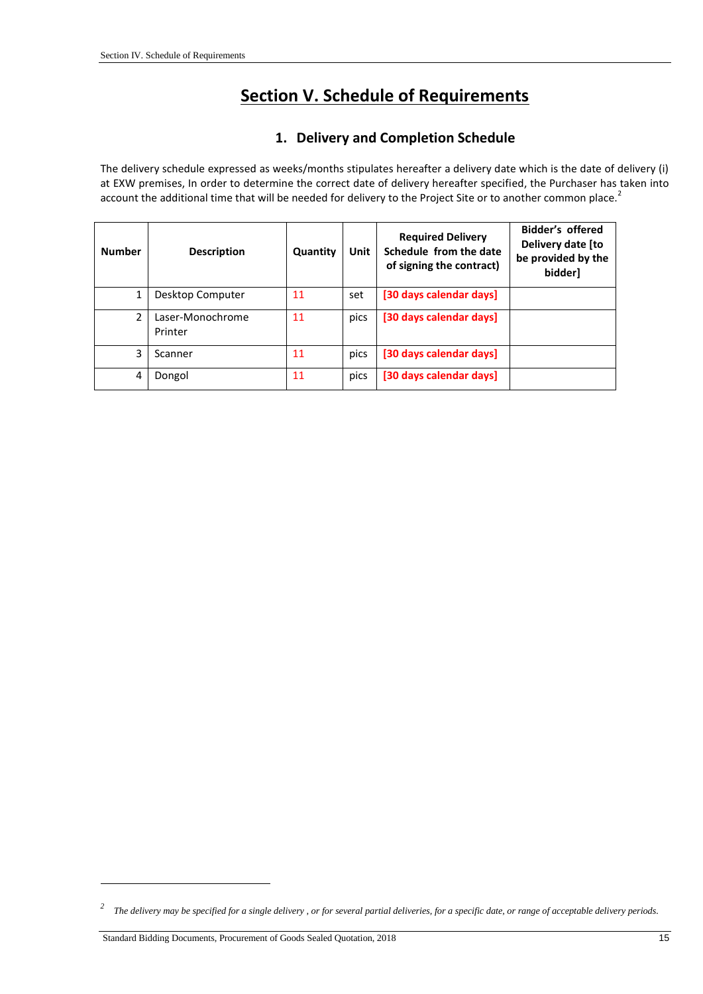# **Section V. Schedule of Requirements**

#### **1. Delivery and Completion Schedule**

<span id="page-15-0"></span>The delivery schedule expressed as weeks/months stipulates hereafter a delivery date which is the date of delivery (i) at EXW premises, In order to determine the correct date of delivery hereafter specified, the Purchaser has taken into account the additional time that will be needed for delivery to the Project Site or to another common place.<sup>2</sup>

| <b>Number</b>  | <b>Description</b>          | Quantity | Unit | <b>Required Delivery</b><br>Schedule from the date<br>of signing the contract) | Bidder's offered<br>Delivery date [to<br>be provided by the<br>bidder] |
|----------------|-----------------------------|----------|------|--------------------------------------------------------------------------------|------------------------------------------------------------------------|
| 1              | Desktop Computer            | 11       | set  | [30 days calendar days]                                                        |                                                                        |
| $\overline{2}$ | Laser-Monochrome<br>Printer | 11       | pics | [30 days calendar days]                                                        |                                                                        |
| 3              | Scanner                     | 11       | pics | [30 days calendar days]                                                        |                                                                        |
| 4              | Dongol                      | 11       | pics | [30 days calendar days]                                                        |                                                                        |

-

*<sup>2</sup> The delivery may be specified for a single delivery , or for several partial deliveries, for a specific date, or range of acceptable delivery periods.*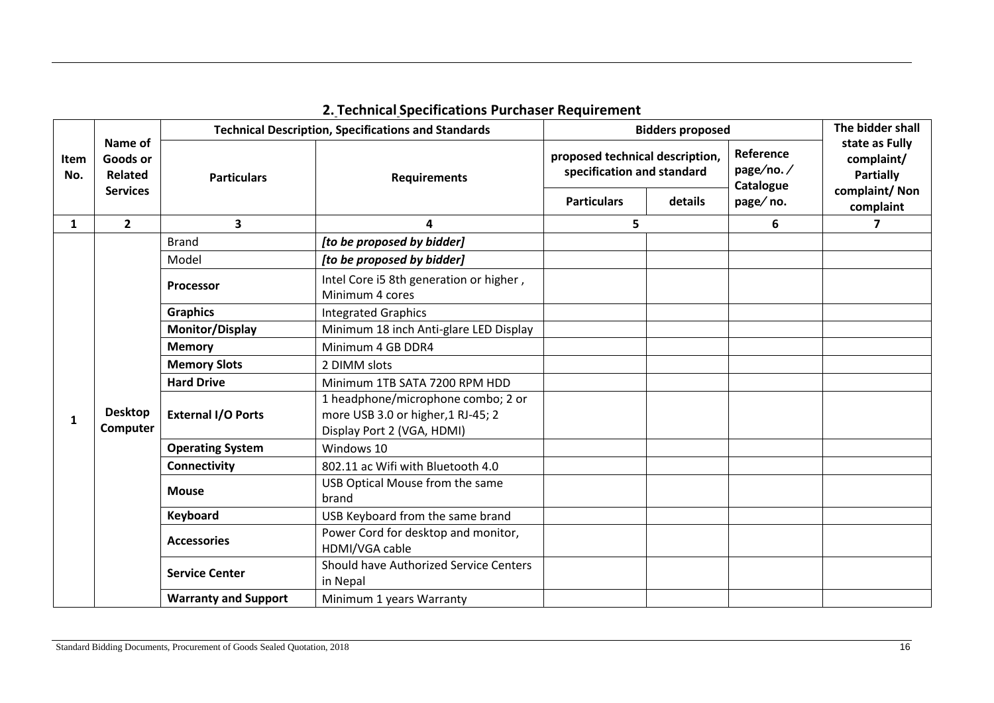| <b>Item</b><br>No. | Name of<br>Goods or<br>Related<br><b>Services</b> | <b>Technical Description, Specifications and Standards</b> |                                                                                                        | <b>Bidders proposed</b>                                       | The bidder shall |                                     |                                                  |
|--------------------|---------------------------------------------------|------------------------------------------------------------|--------------------------------------------------------------------------------------------------------|---------------------------------------------------------------|------------------|-------------------------------------|--------------------------------------------------|
|                    |                                                   | <b>Particulars</b>                                         | <b>Requirements</b>                                                                                    | proposed technical description,<br>specification and standard |                  | Reference<br>page/no./<br>Catalogue | state as Fully<br>complaint/<br><b>Partially</b> |
|                    |                                                   |                                                            |                                                                                                        | <b>Particulars</b>                                            | details          | page/no.                            | complaint/Non<br>complaint                       |
| $\mathbf{1}$       | $\overline{2}$                                    | $\overline{\mathbf{3}}$                                    | 4                                                                                                      | 5.                                                            |                  | 6                                   | 7                                                |
|                    |                                                   | <b>Brand</b>                                               | [to be proposed by bidder]                                                                             |                                                               |                  |                                     |                                                  |
|                    |                                                   | Model                                                      | [to be proposed by bidder]                                                                             |                                                               |                  |                                     |                                                  |
|                    |                                                   | <b>Processor</b>                                           | Intel Core i5 8th generation or higher,<br>Minimum 4 cores                                             |                                                               |                  |                                     |                                                  |
|                    |                                                   | <b>Graphics</b>                                            | <b>Integrated Graphics</b>                                                                             |                                                               |                  |                                     |                                                  |
|                    |                                                   | <b>Monitor/Display</b>                                     | Minimum 18 inch Anti-glare LED Display                                                                 |                                                               |                  |                                     |                                                  |
|                    |                                                   | <b>Memory</b>                                              | Minimum 4 GB DDR4                                                                                      |                                                               |                  |                                     |                                                  |
|                    |                                                   | <b>Memory Slots</b>                                        | 2 DIMM slots                                                                                           |                                                               |                  |                                     |                                                  |
|                    |                                                   | <b>Hard Drive</b>                                          | Minimum 1TB SATA 7200 RPM HDD                                                                          |                                                               |                  |                                     |                                                  |
| 1                  | <b>Desktop</b><br>Computer                        | <b>External I/O Ports</b>                                  | 1 headphone/microphone combo; 2 or<br>more USB 3.0 or higher, 1 RJ-45; 2<br>Display Port 2 (VGA, HDMI) |                                                               |                  |                                     |                                                  |
|                    |                                                   | <b>Operating System</b>                                    | Windows 10                                                                                             |                                                               |                  |                                     |                                                  |
|                    |                                                   | <b>Connectivity</b>                                        | 802.11 ac Wifi with Bluetooth 4.0                                                                      |                                                               |                  |                                     |                                                  |
|                    |                                                   | <b>Mouse</b>                                               | USB Optical Mouse from the same<br>brand                                                               |                                                               |                  |                                     |                                                  |
|                    |                                                   | Keyboard                                                   | USB Keyboard from the same brand                                                                       |                                                               |                  |                                     |                                                  |
|                    |                                                   | <b>Accessories</b>                                         | Power Cord for desktop and monitor,<br>HDMI/VGA cable                                                  |                                                               |                  |                                     |                                                  |
|                    |                                                   | <b>Service Center</b>                                      | Should have Authorized Service Centers<br>in Nepal                                                     |                                                               |                  |                                     |                                                  |
|                    |                                                   | <b>Warranty and Support</b>                                | Minimum 1 years Warranty                                                                               |                                                               |                  |                                     |                                                  |

### **2. Technical Specifications Purchaser Requirement**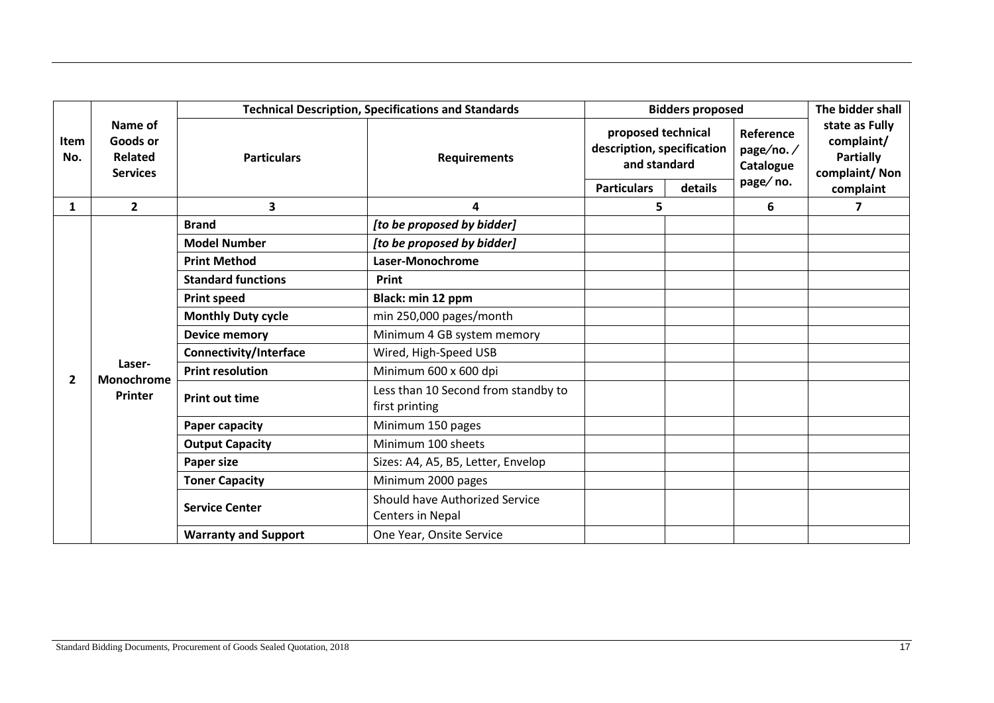|                |                                                   | <b>Technical Description, Specifications and Standards</b> | <b>Bidders proposed</b>                               |                                                                  |         | The bidder shall                    |                                                                   |
|----------------|---------------------------------------------------|------------------------------------------------------------|-------------------------------------------------------|------------------------------------------------------------------|---------|-------------------------------------|-------------------------------------------------------------------|
| Item<br>No.    | Name of<br>Goods or<br>Related<br><b>Services</b> | <b>Particulars</b>                                         | <b>Requirements</b>                                   | proposed technical<br>description, specification<br>and standard |         | Reference<br>page/no./<br>Catalogue | state as Fully<br>complaint/<br><b>Partially</b><br>complaint/Non |
|                |                                                   |                                                            |                                                       | <b>Particulars</b>                                               | details | page/no.                            | complaint                                                         |
| 1              | $\mathbf{2}$                                      | 3                                                          | 4                                                     | 5                                                                |         | 6                                   | 7                                                                 |
|                |                                                   | <b>Brand</b>                                               | [to be proposed by bidder]                            |                                                                  |         |                                     |                                                                   |
|                |                                                   | <b>Model Number</b>                                        | [to be proposed by bidder]                            |                                                                  |         |                                     |                                                                   |
|                |                                                   | <b>Print Method</b>                                        | Laser-Monochrome                                      |                                                                  |         |                                     |                                                                   |
|                |                                                   | <b>Standard functions</b>                                  | Print                                                 |                                                                  |         |                                     |                                                                   |
|                |                                                   | <b>Print speed</b>                                         | Black: min 12 ppm                                     |                                                                  |         |                                     |                                                                   |
|                |                                                   | <b>Monthly Duty cycle</b>                                  | min 250,000 pages/month                               |                                                                  |         |                                     |                                                                   |
|                |                                                   | <b>Device memory</b>                                       | Minimum 4 GB system memory                            |                                                                  |         |                                     |                                                                   |
|                |                                                   | <b>Connectivity/Interface</b>                              | Wired, High-Speed USB                                 |                                                                  |         |                                     |                                                                   |
| $\overline{2}$ | Laser-<br>Monochrome<br><b>Printer</b>            | <b>Print resolution</b>                                    | Minimum 600 x 600 dpi                                 |                                                                  |         |                                     |                                                                   |
|                |                                                   | <b>Print out time</b>                                      | Less than 10 Second from standby to<br>first printing |                                                                  |         |                                     |                                                                   |
|                |                                                   | <b>Paper capacity</b>                                      | Minimum 150 pages                                     |                                                                  |         |                                     |                                                                   |
|                |                                                   | <b>Output Capacity</b>                                     | Minimum 100 sheets                                    |                                                                  |         |                                     |                                                                   |
|                |                                                   | <b>Paper size</b>                                          | Sizes: A4, A5, B5, Letter, Envelop                    |                                                                  |         |                                     |                                                                   |
|                |                                                   | <b>Toner Capacity</b>                                      | Minimum 2000 pages                                    |                                                                  |         |                                     |                                                                   |
|                |                                                   | <b>Service Center</b>                                      | Should have Authorized Service<br>Centers in Nepal    |                                                                  |         |                                     |                                                                   |
|                |                                                   | <b>Warranty and Support</b>                                | One Year, Onsite Service                              |                                                                  |         |                                     |                                                                   |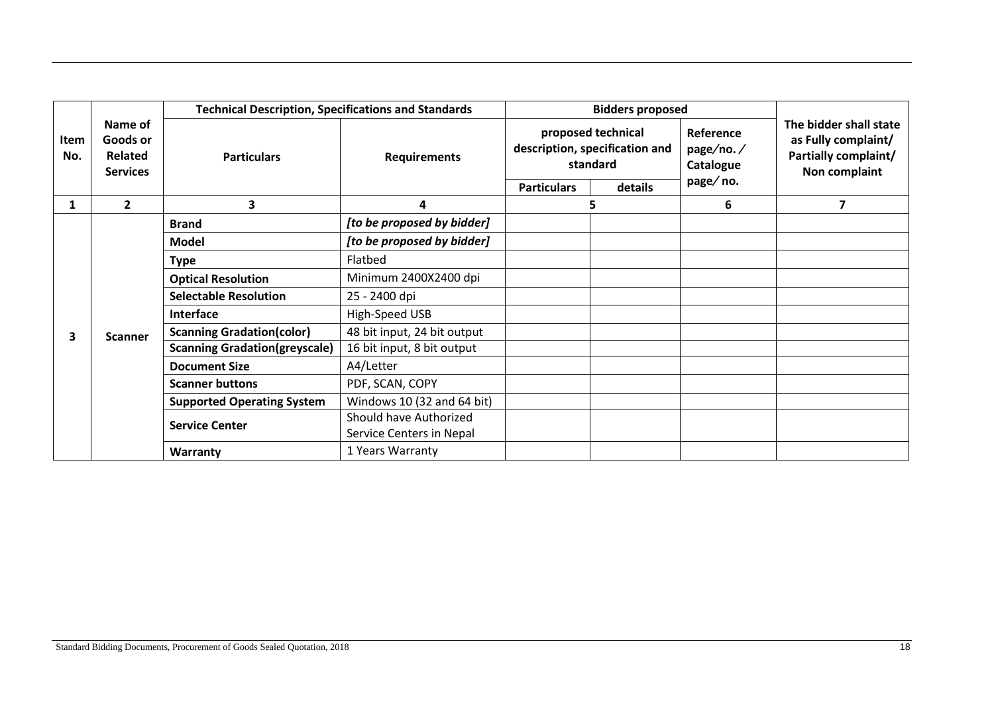|              |                                                                     | <b>Technical Description, Specifications and Standards</b> | <b>Bidders proposed</b>     |                                                                  |         |                                     |                                                                                        |
|--------------|---------------------------------------------------------------------|------------------------------------------------------------|-----------------------------|------------------------------------------------------------------|---------|-------------------------------------|----------------------------------------------------------------------------------------|
| Item<br>No.  | Name of<br>Goods or<br>Related<br><b>Services</b><br>$\overline{2}$ | <b>Particulars</b>                                         | <b>Requirements</b>         | proposed technical<br>description, specification and<br>standard |         | Reference<br>page/no./<br>Catalogue | The bidder shall state<br>as Fully complaint/<br>Partially complaint/<br>Non complaint |
|              |                                                                     |                                                            |                             | <b>Particulars</b>                                               | details | page/no.                            |                                                                                        |
| $\mathbf{1}$ |                                                                     | 3                                                          | 4                           | 5                                                                |         | 6                                   | 7                                                                                      |
|              |                                                                     | <b>Brand</b>                                               | [to be proposed by bidder]  |                                                                  |         |                                     |                                                                                        |
|              |                                                                     | <b>Model</b>                                               | [to be proposed by bidder]  |                                                                  |         |                                     |                                                                                        |
|              |                                                                     | <b>Type</b>                                                | Flatbed                     |                                                                  |         |                                     |                                                                                        |
|              |                                                                     | <b>Optical Resolution</b>                                  | Minimum 2400X2400 dpi       |                                                                  |         |                                     |                                                                                        |
|              |                                                                     | <b>Selectable Resolution</b>                               | 25 - 2400 dpi               |                                                                  |         |                                     |                                                                                        |
|              |                                                                     | <b>Interface</b>                                           | High-Speed USB              |                                                                  |         |                                     |                                                                                        |
| 3.           | <b>Scanner</b>                                                      | <b>Scanning Gradation(color)</b>                           | 48 bit input, 24 bit output |                                                                  |         |                                     |                                                                                        |
|              |                                                                     | <b>Scanning Gradation(greyscale)</b>                       | 16 bit input, 8 bit output  |                                                                  |         |                                     |                                                                                        |
|              |                                                                     | <b>Document Size</b>                                       | A4/Letter                   |                                                                  |         |                                     |                                                                                        |
|              |                                                                     | <b>Scanner buttons</b>                                     | PDF, SCAN, COPY             |                                                                  |         |                                     |                                                                                        |
|              |                                                                     | <b>Supported Operating System</b>                          | Windows 10 (32 and 64 bit)  |                                                                  |         |                                     |                                                                                        |
|              |                                                                     | <b>Service Center</b>                                      | Should have Authorized      |                                                                  |         |                                     |                                                                                        |
|              |                                                                     |                                                            | Service Centers in Nepal    |                                                                  |         |                                     |                                                                                        |
|              |                                                                     | Warranty                                                   | 1 Years Warranty            |                                                                  |         |                                     |                                                                                        |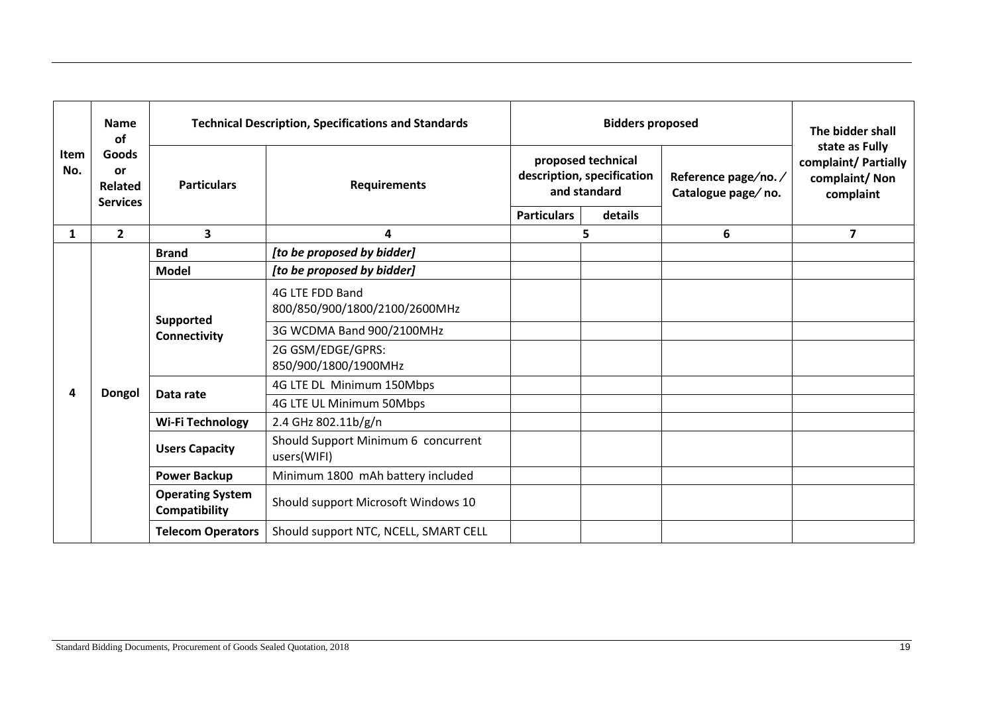| <b>Item</b><br>No. | <b>Name</b><br>of<br>Goods<br><b>or</b><br>Related<br><b>Services</b> | <b>Technical Description, Specifications and Standards</b> |                                                    |                                                                  | The bidder shall<br>state as Fully |                                           |                                                    |
|--------------------|-----------------------------------------------------------------------|------------------------------------------------------------|----------------------------------------------------|------------------------------------------------------------------|------------------------------------|-------------------------------------------|----------------------------------------------------|
|                    |                                                                       | <b>Particulars</b>                                         | <b>Requirements</b>                                | proposed technical<br>description, specification<br>and standard |                                    | Reference page/no./<br>Catalogue page/no. | complaint/ Partially<br>complaint/Non<br>complaint |
|                    |                                                                       |                                                            |                                                    | <b>Particulars</b>                                               | details                            |                                           |                                                    |
| $\mathbf{1}$       | $\overline{2}$                                                        | $\overline{\mathbf{3}}$                                    | 4                                                  | 5                                                                |                                    | 6                                         | $\overline{7}$                                     |
|                    |                                                                       | <b>Brand</b>                                               | [to be proposed by bidder]                         |                                                                  |                                    |                                           |                                                    |
|                    |                                                                       | <b>Model</b>                                               | [to be proposed by bidder]                         |                                                                  |                                    |                                           |                                                    |
|                    |                                                                       | Supported<br>Connectivity                                  | 4G LTE FDD Band<br>800/850/900/1800/2100/2600MHz   |                                                                  |                                    |                                           |                                                    |
|                    |                                                                       |                                                            | 3G WCDMA Band 900/2100MHz                          |                                                                  |                                    |                                           |                                                    |
|                    |                                                                       |                                                            | 2G GSM/EDGE/GPRS:<br>850/900/1800/1900MHz          |                                                                  |                                    |                                           |                                                    |
|                    | <b>Dongol</b>                                                         | Data rate                                                  | 4G LTE DL Minimum 150Mbps                          |                                                                  |                                    |                                           |                                                    |
|                    |                                                                       |                                                            | 4G LTE UL Minimum 50Mbps                           |                                                                  |                                    |                                           |                                                    |
|                    |                                                                       | <b>Wi-Fi Technology</b>                                    | 2.4 GHz 802.11b/g/n                                |                                                                  |                                    |                                           |                                                    |
|                    |                                                                       | <b>Users Capacity</b>                                      | Should Support Minimum 6 concurrent<br>users(WIFI) |                                                                  |                                    |                                           |                                                    |
|                    |                                                                       | <b>Power Backup</b>                                        | Minimum 1800 mAh battery included                  |                                                                  |                                    |                                           |                                                    |
|                    |                                                                       | <b>Operating System</b><br>Compatibility                   | Should support Microsoft Windows 10                |                                                                  |                                    |                                           |                                                    |
|                    |                                                                       | <b>Telecom Operators</b>                                   | Should support NTC, NCELL, SMART CELL              |                                                                  |                                    |                                           |                                                    |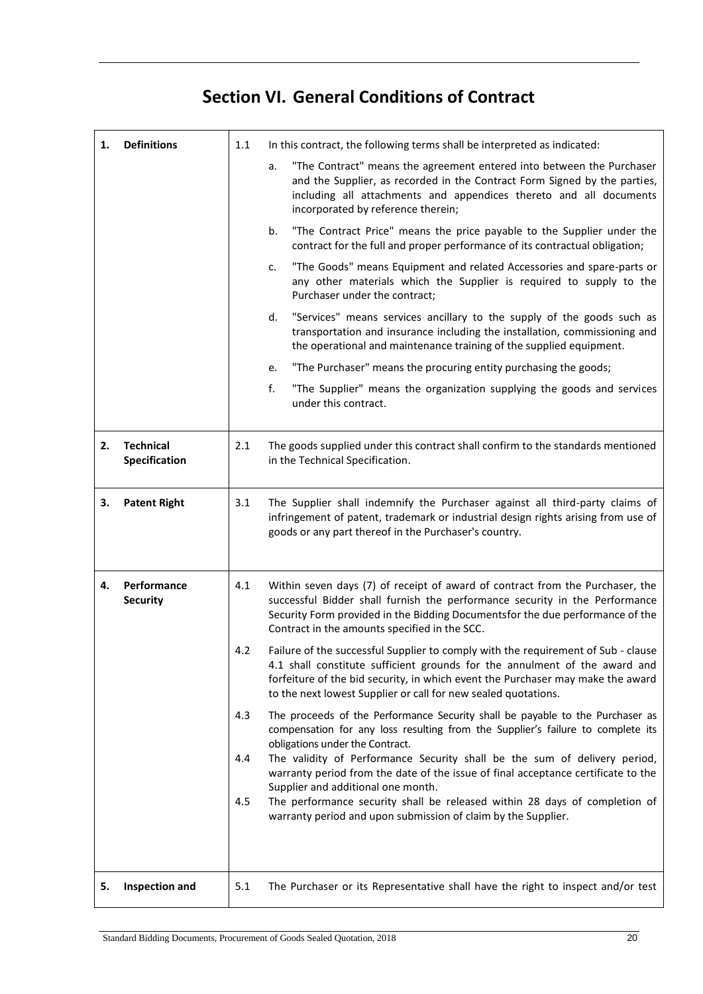# **Section VI. General Conditions of Contract**

<span id="page-20-0"></span>

| 1. | <b>Definitions</b>                | 1.1 | In this contract, the following terms shall be interpreted as indicated:                                                                                                                                                                                                                                             |
|----|-----------------------------------|-----|----------------------------------------------------------------------------------------------------------------------------------------------------------------------------------------------------------------------------------------------------------------------------------------------------------------------|
|    |                                   |     | "The Contract" means the agreement entered into between the Purchaser<br>a.<br>and the Supplier, as recorded in the Contract Form Signed by the parties,<br>including all attachments and appendices thereto and all documents<br>incorporated by reference therein;                                                 |
|    |                                   |     | "The Contract Price" means the price payable to the Supplier under the<br>b.<br>contract for the full and proper performance of its contractual obligation;                                                                                                                                                          |
|    |                                   |     | "The Goods" means Equipment and related Accessories and spare-parts or<br>c.<br>any other materials which the Supplier is required to supply to the<br>Purchaser under the contract;                                                                                                                                 |
|    |                                   |     | "Services" means services ancillary to the supply of the goods such as<br>d.<br>transportation and insurance including the installation, commissioning and<br>the operational and maintenance training of the supplied equipment.                                                                                    |
|    |                                   |     | "The Purchaser" means the procuring entity purchasing the goods;<br>e.                                                                                                                                                                                                                                               |
|    |                                   |     | f.<br>"The Supplier" means the organization supplying the goods and services<br>under this contract.                                                                                                                                                                                                                 |
| 2. | <b>Technical</b><br>Specification | 2.1 | The goods supplied under this contract shall confirm to the standards mentioned<br>in the Technical Specification.                                                                                                                                                                                                   |
| 3. | <b>Patent Right</b>               | 3.1 | The Supplier shall indemnify the Purchaser against all third-party claims of<br>infringement of patent, trademark or industrial design rights arising from use of<br>goods or any part thereof in the Purchaser's country.                                                                                           |
| 4. | Performance<br><b>Security</b>    | 4.1 | Within seven days (7) of receipt of award of contract from the Purchaser, the<br>successful Bidder shall furnish the performance security in the Performance<br>Security Form provided in the Bidding Documentsfor the due performance of the<br>Contract in the amounts specified in the SCC.                       |
|    |                                   | 4.2 | Failure of the successful Supplier to comply with the requirement of Sub - clause<br>4.1 shall constitute sufficient grounds for the annulment of the award and<br>forfeiture of the bid security, in which event the Purchaser may make the award<br>to the next lowest Supplier or call for new sealed quotations. |
|    |                                   | 4.3 | The proceeds of the Performance Security shall be payable to the Purchaser as<br>compensation for any loss resulting from the Supplier's failure to complete its<br>obligations under the Contract.                                                                                                                  |
|    |                                   | 4.4 | The validity of Performance Security shall be the sum of delivery period,<br>warranty period from the date of the issue of final acceptance certificate to the                                                                                                                                                       |
|    |                                   | 4.5 | Supplier and additional one month.<br>The performance security shall be released within 28 days of completion of<br>warranty period and upon submission of claim by the Supplier.                                                                                                                                    |
|    |                                   |     |                                                                                                                                                                                                                                                                                                                      |
| 5. | Inspection and                    | 5.1 | The Purchaser or its Representative shall have the right to inspect and/or test                                                                                                                                                                                                                                      |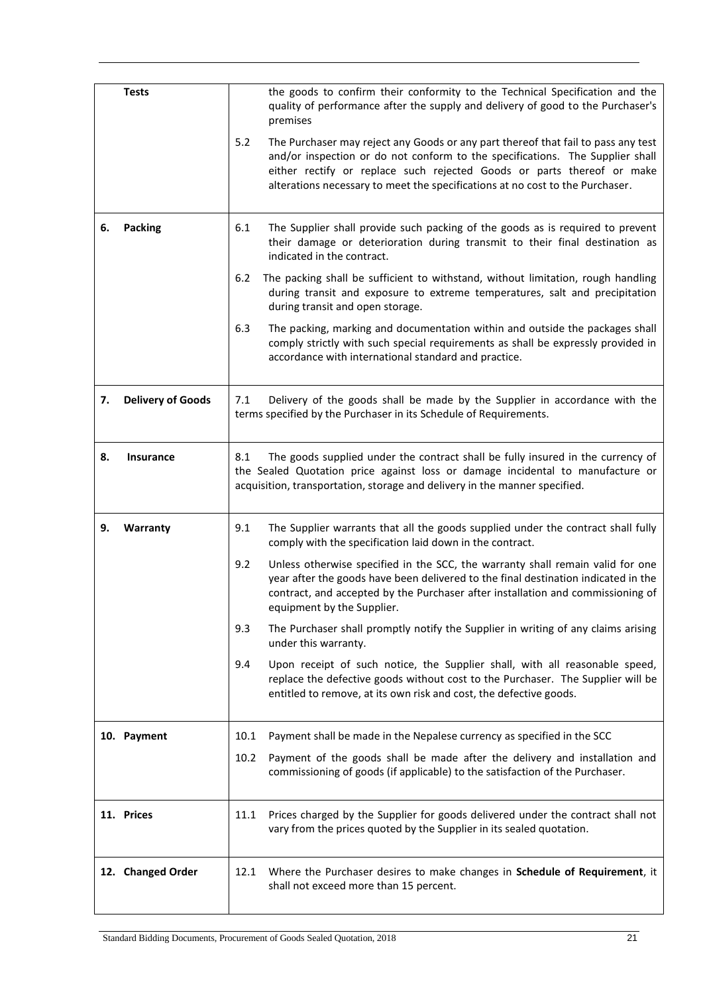|    | <b>Tests</b>             | the goods to confirm their conformity to the Technical Specification and the<br>quality of performance after the supply and delivery of good to the Purchaser's<br>premises                                                                                                                                                          |
|----|--------------------------|--------------------------------------------------------------------------------------------------------------------------------------------------------------------------------------------------------------------------------------------------------------------------------------------------------------------------------------|
|    |                          | 5.2<br>The Purchaser may reject any Goods or any part thereof that fail to pass any test<br>and/or inspection or do not conform to the specifications. The Supplier shall<br>either rectify or replace such rejected Goods or parts thereof or make<br>alterations necessary to meet the specifications at no cost to the Purchaser. |
| 6. | Packing                  | 6.1<br>The Supplier shall provide such packing of the goods as is required to prevent<br>their damage or deterioration during transmit to their final destination as<br>indicated in the contract.                                                                                                                                   |
|    |                          | $6.2$<br>The packing shall be sufficient to withstand, without limitation, rough handling<br>during transit and exposure to extreme temperatures, salt and precipitation<br>during transit and open storage.                                                                                                                         |
|    |                          | 6.3<br>The packing, marking and documentation within and outside the packages shall<br>comply strictly with such special requirements as shall be expressly provided in<br>accordance with international standard and practice.                                                                                                      |
| 7. | <b>Delivery of Goods</b> | 7.1<br>Delivery of the goods shall be made by the Supplier in accordance with the<br>terms specified by the Purchaser in its Schedule of Requirements.                                                                                                                                                                               |
| 8. | <b>Insurance</b>         | The goods supplied under the contract shall be fully insured in the currency of<br>8.1<br>the Sealed Quotation price against loss or damage incidental to manufacture or<br>acquisition, transportation, storage and delivery in the manner specified.                                                                               |
| 9. | Warranty                 | The Supplier warrants that all the goods supplied under the contract shall fully<br>9.1<br>comply with the specification laid down in the contract.                                                                                                                                                                                  |
|    |                          | 9.2<br>Unless otherwise specified in the SCC, the warranty shall remain valid for one<br>year after the goods have been delivered to the final destination indicated in the<br>contract, and accepted by the Purchaser after installation and commissioning of<br>equipment by the Supplier.                                         |
|    |                          | 9.3<br>The Purchaser shall promptly notify the Supplier in writing of any claims arising<br>under this warranty.                                                                                                                                                                                                                     |
|    |                          | Upon receipt of such notice, the Supplier shall, with all reasonable speed,<br>9.4<br>replace the defective goods without cost to the Purchaser. The Supplier will be<br>entitled to remove, at its own risk and cost, the defective goods.                                                                                          |
|    | 10. Payment              | Payment shall be made in the Nepalese currency as specified in the SCC<br>10.1                                                                                                                                                                                                                                                       |
|    |                          | 10.2<br>Payment of the goods shall be made after the delivery and installation and<br>commissioning of goods (if applicable) to the satisfaction of the Purchaser.                                                                                                                                                                   |
|    | 11. Prices               | Prices charged by the Supplier for goods delivered under the contract shall not<br>11.1<br>vary from the prices quoted by the Supplier in its sealed quotation.                                                                                                                                                                      |
|    | 12. Changed Order        | Where the Purchaser desires to make changes in Schedule of Requirement, it<br>12.1<br>shall not exceed more than 15 percent.                                                                                                                                                                                                         |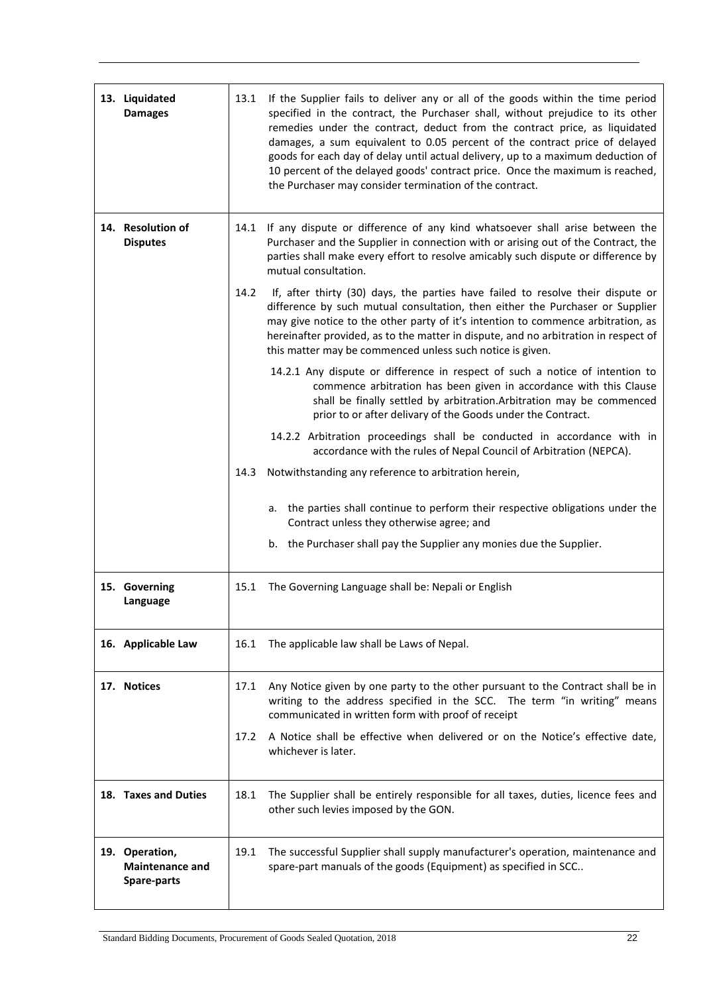| 13. Liquidated<br><b>Damages</b>                        | 13.1 | If the Supplier fails to deliver any or all of the goods within the time period<br>specified in the contract, the Purchaser shall, without prejudice to its other<br>remedies under the contract, deduct from the contract price, as liquidated<br>damages, a sum equivalent to 0.05 percent of the contract price of delayed<br>goods for each day of delay until actual delivery, up to a maximum deduction of<br>10 percent of the delayed goods' contract price. Once the maximum is reached,<br>the Purchaser may consider termination of the contract. |
|---------------------------------------------------------|------|--------------------------------------------------------------------------------------------------------------------------------------------------------------------------------------------------------------------------------------------------------------------------------------------------------------------------------------------------------------------------------------------------------------------------------------------------------------------------------------------------------------------------------------------------------------|
| 14. Resolution of<br><b>Disputes</b>                    | 14.1 | If any dispute or difference of any kind whatsoever shall arise between the<br>Purchaser and the Supplier in connection with or arising out of the Contract, the<br>parties shall make every effort to resolve amicably such dispute or difference by<br>mutual consultation.                                                                                                                                                                                                                                                                                |
|                                                         | 14.2 | If, after thirty (30) days, the parties have failed to resolve their dispute or<br>difference by such mutual consultation, then either the Purchaser or Supplier<br>may give notice to the other party of it's intention to commence arbitration, as<br>hereinafter provided, as to the matter in dispute, and no arbitration in respect of<br>this matter may be commenced unless such notice is given.                                                                                                                                                     |
|                                                         |      | 14.2.1 Any dispute or difference in respect of such a notice of intention to<br>commence arbitration has been given in accordance with this Clause<br>shall be finally settled by arbitration.Arbitration may be commenced<br>prior to or after delivary of the Goods under the Contract.                                                                                                                                                                                                                                                                    |
|                                                         |      | 14.2.2 Arbitration proceedings shall be conducted in accordance with in<br>accordance with the rules of Nepal Council of Arbitration (NEPCA).                                                                                                                                                                                                                                                                                                                                                                                                                |
|                                                         | 14.3 | Notwithstanding any reference to arbitration herein,                                                                                                                                                                                                                                                                                                                                                                                                                                                                                                         |
|                                                         |      | a. the parties shall continue to perform their respective obligations under the<br>Contract unless they otherwise agree; and                                                                                                                                                                                                                                                                                                                                                                                                                                 |
|                                                         |      | b. the Purchaser shall pay the Supplier any monies due the Supplier.                                                                                                                                                                                                                                                                                                                                                                                                                                                                                         |
| 15. Governing<br>Language                               | 15.1 | The Governing Language shall be: Nepali or English                                                                                                                                                                                                                                                                                                                                                                                                                                                                                                           |
| 16. Applicable Law                                      | 16.1 | The applicable law shall be Laws of Nepal.                                                                                                                                                                                                                                                                                                                                                                                                                                                                                                                   |
| 17. Notices                                             | 17.1 | Any Notice given by one party to the other pursuant to the Contract shall be in<br>writing to the address specified in the SCC. The term "in writing" means<br>communicated in written form with proof of receipt                                                                                                                                                                                                                                                                                                                                            |
|                                                         | 17.2 | A Notice shall be effective when delivered or on the Notice's effective date,<br>whichever is later.                                                                                                                                                                                                                                                                                                                                                                                                                                                         |
| 18. Taxes and Duties                                    | 18.1 | The Supplier shall be entirely responsible for all taxes, duties, licence fees and<br>other such levies imposed by the GON.                                                                                                                                                                                                                                                                                                                                                                                                                                  |
| 19. Operation,<br><b>Maintenance and</b><br>Spare-parts | 19.1 | The successful Supplier shall supply manufacturer's operation, maintenance and<br>spare-part manuals of the goods (Equipment) as specified in SCC                                                                                                                                                                                                                                                                                                                                                                                                            |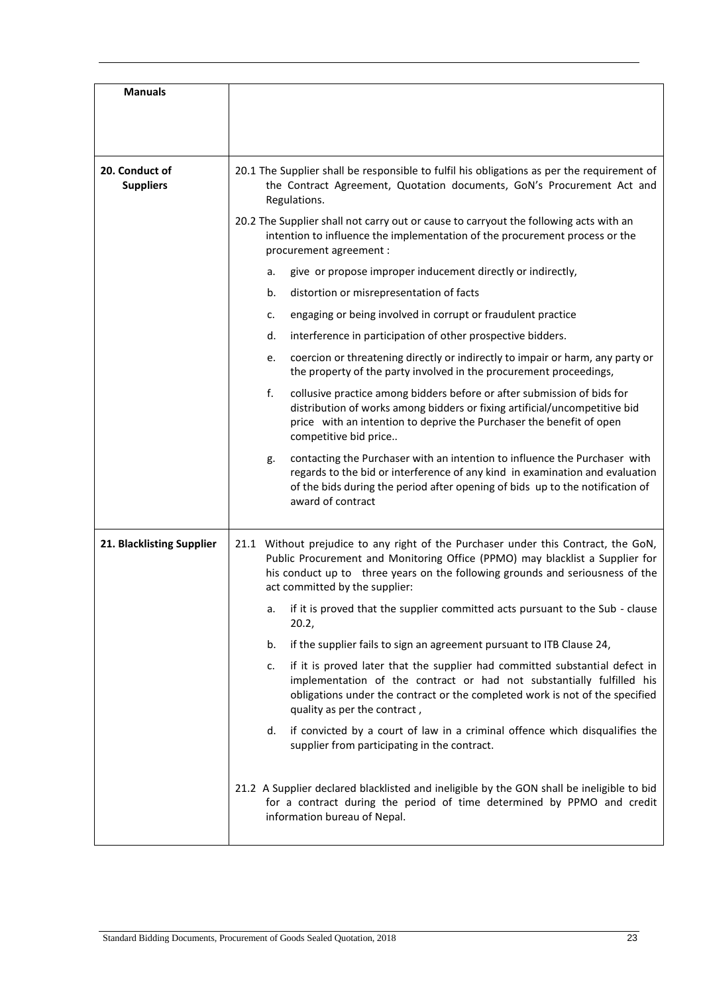| <b>Manuals</b>                     |                                                                                                                                                                                                                                                                                       |
|------------------------------------|---------------------------------------------------------------------------------------------------------------------------------------------------------------------------------------------------------------------------------------------------------------------------------------|
| 20. Conduct of<br><b>Suppliers</b> | 20.1 The Supplier shall be responsible to fulfil his obligations as per the requirement of<br>the Contract Agreement, Quotation documents, GoN's Procurement Act and<br>Regulations.                                                                                                  |
|                                    | 20.2 The Supplier shall not carry out or cause to carryout the following acts with an<br>intention to influence the implementation of the procurement process or the<br>procurement agreement :                                                                                       |
|                                    | give or propose improper inducement directly or indirectly,<br>а.                                                                                                                                                                                                                     |
|                                    | distortion or misrepresentation of facts<br>b.                                                                                                                                                                                                                                        |
|                                    | engaging or being involved in corrupt or fraudulent practice<br>c.                                                                                                                                                                                                                    |
|                                    | interference in participation of other prospective bidders.<br>d.                                                                                                                                                                                                                     |
|                                    | coercion or threatening directly or indirectly to impair or harm, any party or<br>e.<br>the property of the party involved in the procurement proceedings,                                                                                                                            |
|                                    | f.<br>collusive practice among bidders before or after submission of bids for<br>distribution of works among bidders or fixing artificial/uncompetitive bid<br>price with an intention to deprive the Purchaser the benefit of open<br>competitive bid price                          |
|                                    | contacting the Purchaser with an intention to influence the Purchaser with<br>g.<br>regards to the bid or interference of any kind in examination and evaluation<br>of the bids during the period after opening of bids up to the notification of<br>award of contract                |
| 21. Blacklisting Supplier          | 21.1 Without prejudice to any right of the Purchaser under this Contract, the GoN,<br>Public Procurement and Monitoring Office (PPMO) may blacklist a Supplier for<br>his conduct up to three years on the following grounds and seriousness of the<br>act committed by the supplier: |
|                                    | if it is proved that the supplier committed acts pursuant to the Sub - clause<br>a.<br>20.2,                                                                                                                                                                                          |
|                                    | if the supplier fails to sign an agreement pursuant to ITB Clause 24,<br>b.                                                                                                                                                                                                           |
|                                    | if it is proved later that the supplier had committed substantial defect in<br>c.<br>implementation of the contract or had not substantially fulfilled his<br>obligations under the contract or the completed work is not of the specified<br>quality as per the contract,            |
|                                    | d.<br>if convicted by a court of law in a criminal offence which disqualifies the<br>supplier from participating in the contract.                                                                                                                                                     |
|                                    | 21.2 A Supplier declared blacklisted and ineligible by the GON shall be ineligible to bid<br>for a contract during the period of time determined by PPMO and credit<br>information bureau of Nepal.                                                                                   |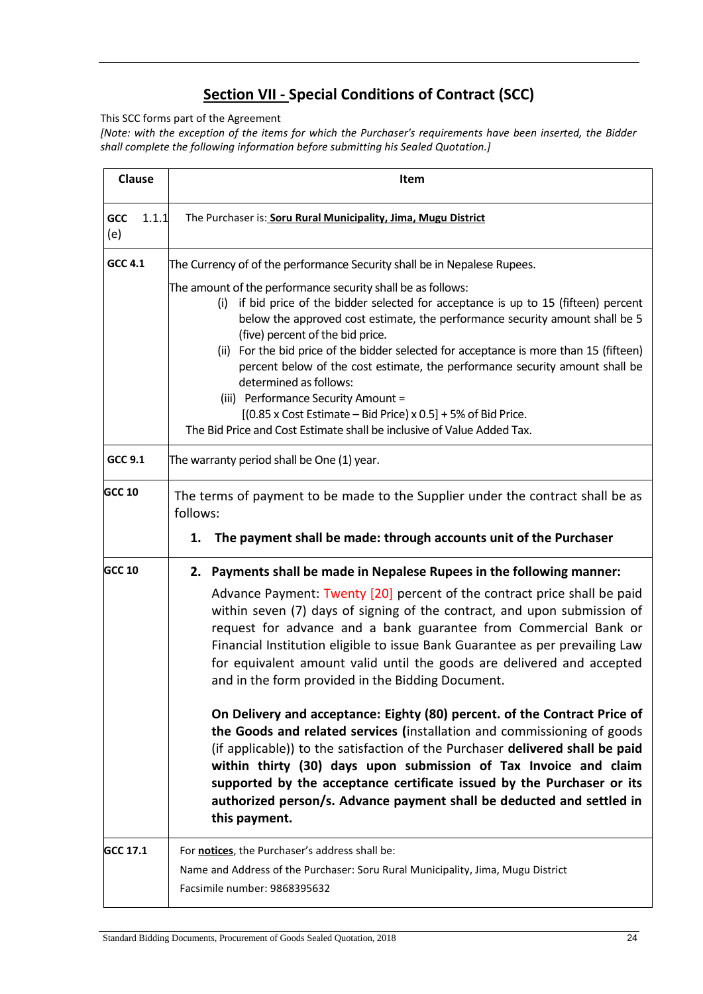### **Section VII - Special Conditions of Contract (SCC)**

This SCC forms part of the Agreement

*[Note: with the exception of the items for which the Purchaser's requirements have been inserted, the Bidder shall complete the following information before submitting his Sealed Quotation.]*

| <b>Clause</b>       | Item                                                                                                                                                                                                                                                                                                                                                                                                                                                                                                                                                                                                                                                                                                                                                                                                                                                                                                                                                                                              |  |  |  |  |  |  |
|---------------------|---------------------------------------------------------------------------------------------------------------------------------------------------------------------------------------------------------------------------------------------------------------------------------------------------------------------------------------------------------------------------------------------------------------------------------------------------------------------------------------------------------------------------------------------------------------------------------------------------------------------------------------------------------------------------------------------------------------------------------------------------------------------------------------------------------------------------------------------------------------------------------------------------------------------------------------------------------------------------------------------------|--|--|--|--|--|--|
| GCC<br>1.1.1<br>(e) | The Purchaser is: Soru Rural Municipality, Jima, Mugu District                                                                                                                                                                                                                                                                                                                                                                                                                                                                                                                                                                                                                                                                                                                                                                                                                                                                                                                                    |  |  |  |  |  |  |
| <b>GCC 4.1</b>      | The Currency of of the performance Security shall be in Nepalese Rupees.<br>The amount of the performance security shall be as follows:<br>if bid price of the bidder selected for acceptance is up to 15 (fifteen) percent<br>(i)<br>below the approved cost estimate, the performance security amount shall be 5<br>(five) percent of the bid price.<br>(ii) For the bid price of the bidder selected for acceptance is more than 15 (fifteen)<br>percent below of the cost estimate, the performance security amount shall be<br>determined as follows:<br>(iii) Performance Security Amount =<br>$[(0.85 \times \text{Cost Estimate} - \text{Bid Price}) \times 0.5] + 5\% \text{ of Bid Price}.$<br>The Bid Price and Cost Estimate shall be inclusive of Value Added Tax.                                                                                                                                                                                                                   |  |  |  |  |  |  |
| <b>GCC 9.1</b>      | The warranty period shall be One (1) year.                                                                                                                                                                                                                                                                                                                                                                                                                                                                                                                                                                                                                                                                                                                                                                                                                                                                                                                                                        |  |  |  |  |  |  |
| <b>GCC 10</b>       | The terms of payment to be made to the Supplier under the contract shall be as<br>follows:<br>The payment shall be made: through accounts unit of the Purchaser<br>1.                                                                                                                                                                                                                                                                                                                                                                                                                                                                                                                                                                                                                                                                                                                                                                                                                             |  |  |  |  |  |  |
| <b>GCC 10</b>       | 2. Payments shall be made in Nepalese Rupees in the following manner:<br>Advance Payment: Twenty [20] percent of the contract price shall be paid<br>within seven (7) days of signing of the contract, and upon submission of<br>request for advance and a bank guarantee from Commercial Bank or<br>Financial Institution eligible to issue Bank Guarantee as per prevailing Law<br>for equivalent amount valid until the goods are delivered and accepted<br>and in the form provided in the Bidding Document.<br>On Delivery and acceptance: Eighty (80) percent. of the Contract Price of<br>the Goods and related services (installation and commissioning of goods<br>(if applicable)) to the satisfaction of the Purchaser delivered shall be paid<br>within thirty (30) days upon submission of Tax Invoice and claim<br>supported by the acceptance certificate issued by the Purchaser or its<br>authorized person/s. Advance payment shall be deducted and settled in<br>this payment. |  |  |  |  |  |  |
| GCC 17.1            | For notices, the Purchaser's address shall be:<br>Name and Address of the Purchaser: Soru Rural Municipality, Jima, Mugu District<br>Facsimile number: 9868395632                                                                                                                                                                                                                                                                                                                                                                                                                                                                                                                                                                                                                                                                                                                                                                                                                                 |  |  |  |  |  |  |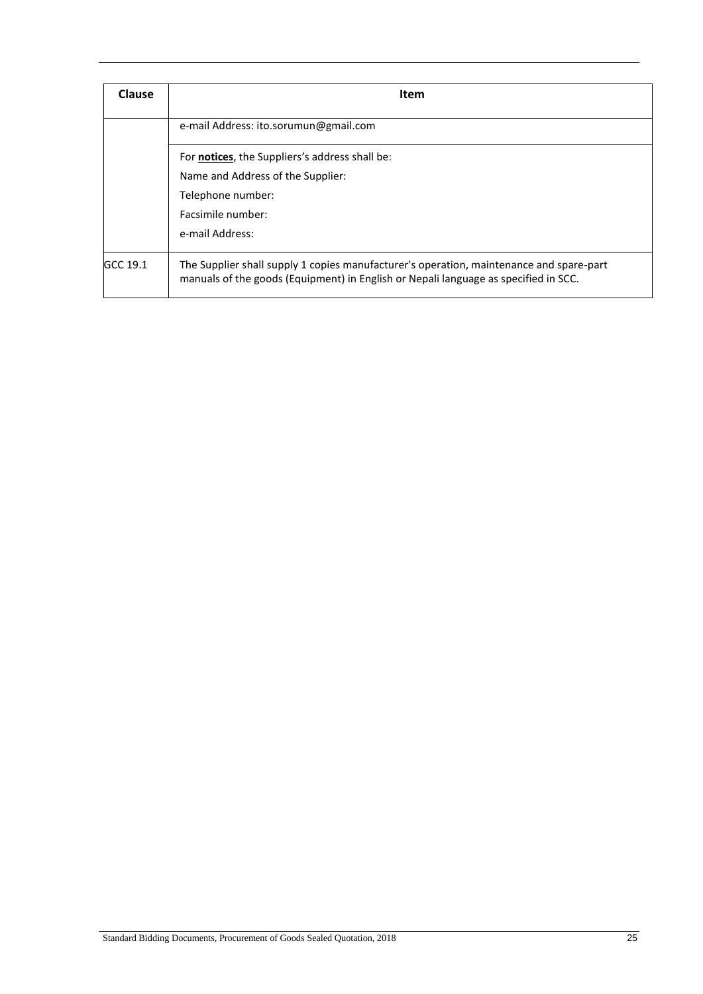| Clause   | <b>Item</b>                                                                                                                                                                    |  |  |  |  |  |  |
|----------|--------------------------------------------------------------------------------------------------------------------------------------------------------------------------------|--|--|--|--|--|--|
|          | e-mail Address: ito.sorumun@gmail.com                                                                                                                                          |  |  |  |  |  |  |
|          | For <b>notices</b> , the Suppliers's address shall be:                                                                                                                         |  |  |  |  |  |  |
|          | Name and Address of the Supplier:                                                                                                                                              |  |  |  |  |  |  |
|          | Telephone number:                                                                                                                                                              |  |  |  |  |  |  |
|          | Facsimile number:                                                                                                                                                              |  |  |  |  |  |  |
|          | e-mail Address:                                                                                                                                                                |  |  |  |  |  |  |
| GCC 19.1 | The Supplier shall supply 1 copies manufacturer's operation, maintenance and spare-part<br>manuals of the goods (Equipment) in English or Nepali language as specified in SCC. |  |  |  |  |  |  |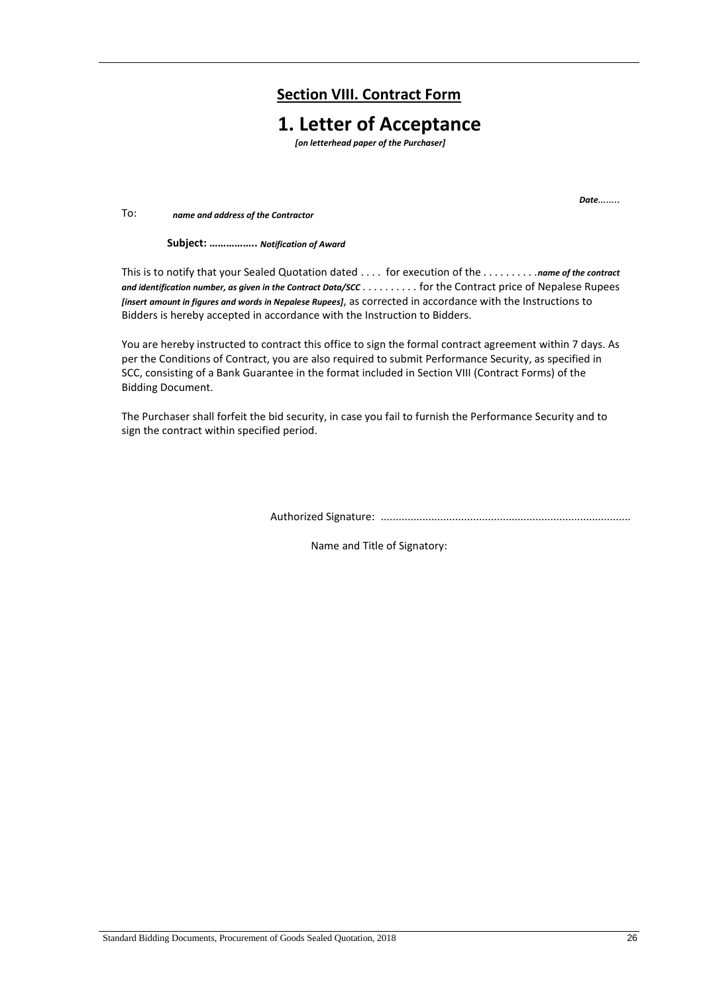### **Section VIII. Contract Form**

### **1. Letter of Acceptance**

*[on letterhead paper of the Purchaser]*

*Date……..*

To: *name and address of the Contractor*

**Subjec : ……………** *Notification of Award*

This is to notify that your Sealed Quotation dated . . . . for execution of the *. . . . . . . . . .name of the contract and identification number, as given in the Contract Data/SCC . . . . . . . . . .* for the Contract price of Nepalese Rupees *[insert amount in figures and words in Nepalese Rupees]*, as corrected in accordance with the Instructions to Bidders is hereby accepted in accordance with the Instruction to Bidders.

You are hereby instructed to contract this office to sign the formal contract agreement within 7 days. As per the Conditions of Contract, you are also required to submit Performance Security, as specified in SCC, consisting of a Bank Guarantee in the format included in Section VIII (Contract Forms) of the Bidding Document.

The Purchaser shall forfeit the bid security, in case you fail to furnish the Performance Security and to sign the contract within specified period.

Authorized Signature: ....................................................................................

Name and Title of Signatory: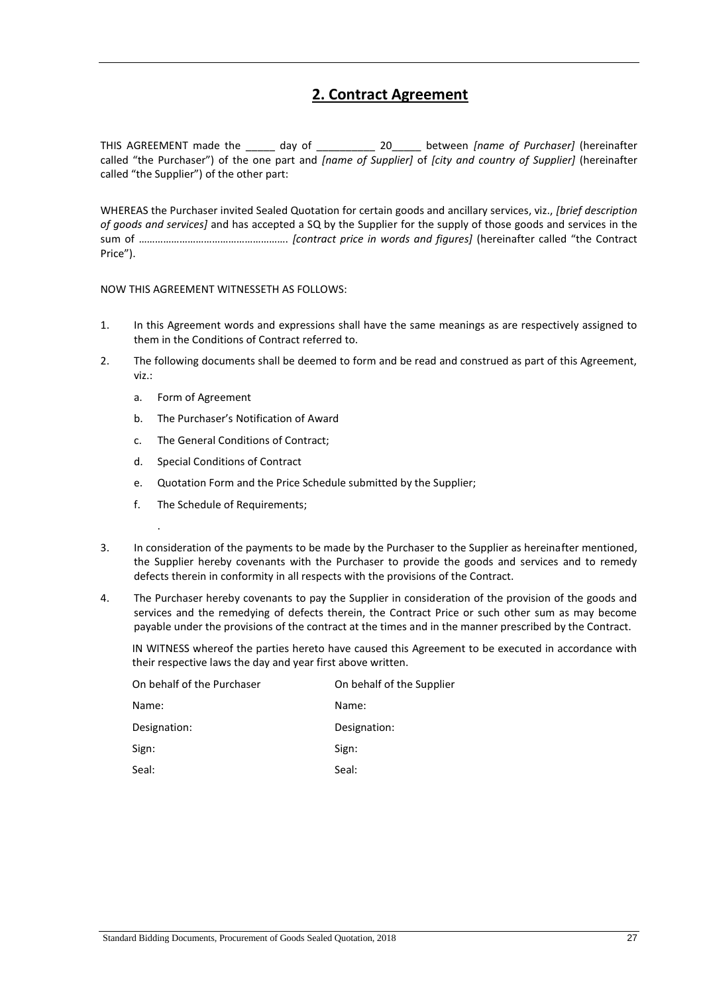### **2. Contract Agreement**

THIS AGREEMENT made the \_\_\_\_\_ day of \_\_\_\_\_\_\_\_\_\_ 20\_\_\_\_\_ between *[name of Purchaser]* (hereinafter called "the Purchaser") of the one part and *[name of Supplier]* of *[city and country of Supplier]* (hereinafter called "the Supplier") of the other part:

WHEREAS the Purchaser invited Sealed Quotation for certain goods and ancillary services, viz., *[brief description of goods and services]* and has accepted a SQ by the Supplier for the supply of those goods and services in the sum of ………………………………………………. *[contract price in words and figures]* (hereinafter called "the Contract Price").

NOW THIS AGREEMENT WITNESSETH AS FOLLOWS:

- 1. In this Agreement words and expressions shall have the same meanings as are respectively assigned to them in the Conditions of Contract referred to.
- 2. The following documents shall be deemed to form and be read and construed as part of this Agreement, viz.:
	- a. Form of Agreement

.

- b. The Purchaser's Notification of Award
- c. The General Conditions of Contract;
- d. Special Conditions of Contract
- e. Quotation Form and the Price Schedule submitted by the Supplier;
- f. The Schedule of Requirements;
- 3. In consideration of the payments to be made by the Purchaser to the Supplier as hereinafter mentioned, the Supplier hereby covenants with the Purchaser to provide the goods and services and to remedy defects therein in conformity in all respects with the provisions of the Contract.
- 4. The Purchaser hereby covenants to pay the Supplier in consideration of the provision of the goods and services and the remedying of defects therein, the Contract Price or such other sum as may become payable under the provisions of the contract at the times and in the manner prescribed by the Contract.

IN WITNESS whereof the parties hereto have caused this Agreement to be executed in accordance with their respective laws the day and year first above written.

| On behalf of the Purchaser | On behalf of the Supplier |
|----------------------------|---------------------------|
| Name:                      | Name:                     |
| Designation:               | Designation:              |
| Sign:                      | Sign:                     |
| Seal:                      | Seal:                     |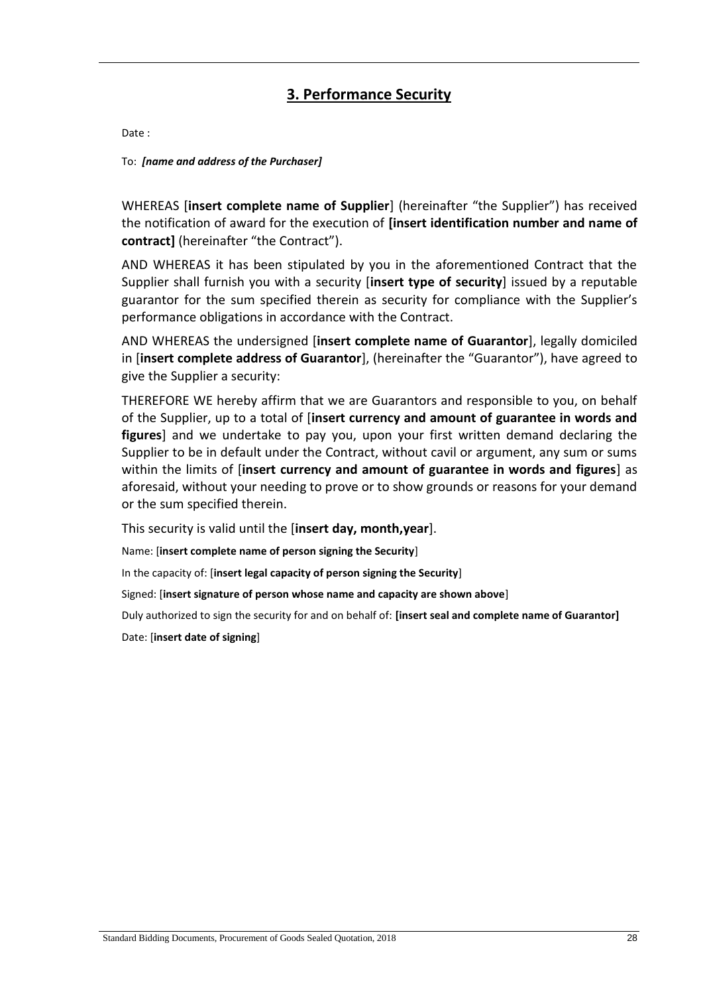### **3. Performance Security**

Date :

To: *[name and address of the Purchaser]*

WHEREAS **[insert complete name of Supplier**] (hereinafter "the Supplier") has received the notification of award for the execution of **[insert identification number and name of contract]** (hereinafter "the Contract").

AND WHEREAS it has been stipulated by you in the aforementioned Contract that the Supplier shall furnish you with a security [**insert type of security**] issued by a reputable guarantor for the sum specified therein as security for compliance with the Supplier's performance obligations in accordance with the Contract.

AND WHEREAS the undersigned [**insert complete name of Guarantor**], legally domiciled in [**insert complete address of Guarantor**], (hereinafter the "Guarantor"), have agreed to give the Supplier a security:

THEREFORE WE hereby affirm that we are Guarantors and responsible to you, on behalf of the Supplier, up to a total of [**insert currency and amount of guarantee in words and figures**] and we undertake to pay you, upon your first written demand declaring the Supplier to be in default under the Contract, without cavil or argument, any sum or sums within the limits of [**insert currency and amount of guarantee in words and figures**] as aforesaid, without your needing to prove or to show grounds or reasons for your demand or the sum specified therein.

This security is valid until the [**insert day, month,year**].

Name: [**insert complete name of person signing the Security**]

In the capacity of: [**insert legal capacity of person signing the Security**]

Signed: [**insert signature of person whose name and capacity are shown above**]

Duly authorized to sign the security for and on behalf of: **[insert seal and complete name of Guarantor]**

Date: [**insert date of signing**]